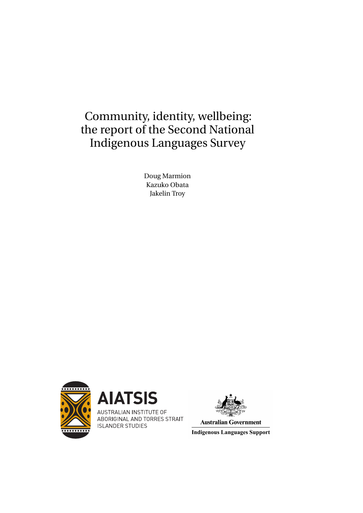# Community, identity, wellbeing: the report of the Second National Indigenous Languages Survey

Doug Marmion Kazuko Obata Jakelin Troy





AUSTRALIAN INSTITUTE OF ABORIGINAL AND TORRES STRAIT **ISLANDER STUDIES** 



**Australian Government** 

**Indigenous Languages Support**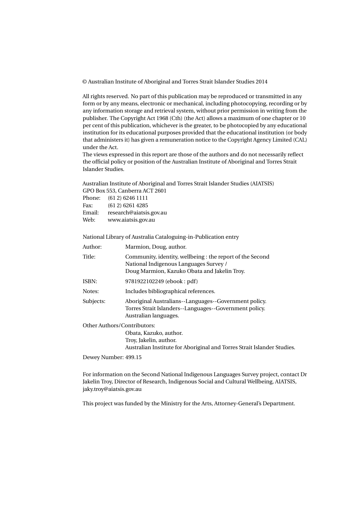© Australian Institute of Aboriginal and Torres Strait Islander Studies 2014

All rights reserved. No part of this publication may be reproduced or transmitted in any form or by any means, electronic or mechanical, including photocopying, recording or by any information storage and retrieval system, without prior permission in writing from the publisher. The Copyright Act 1968 (Cth) (the Act) allows a maximum of one chapter or 10 per cent of this publication, whichever is the greater, to be photocopied by any educational institution for its educational purposes provided that the educational institution (or body that administers it) has given a remuneration notice to the Copyright Agency Limited (CAL) under the Act.

The views expressed in this report are those of the authors and do not necessarily reflect the official policy or position of the Australian Institute of Aboriginal and Torres Strait Islander Studies.

Australian Institute of Aboriginal and Torres Strait Islander Studies (AIATSIS) GPO Box 553, Canberra ACT 2601

| Phone: | (612) 6246 1111         |
|--------|-------------------------|
| Fax:   | (612) 6261 4285         |
| Email: | research@aiatsis.gov.au |
| Web:   | www.aiatsis.gov.au      |

National Library of Australia Cataloguing-in-Publication entry

| Author:   | Marmion, Doug, author.                                                                                                                             |  |
|-----------|----------------------------------------------------------------------------------------------------------------------------------------------------|--|
| Title:    | Community, identity, wellbeing: the report of the Second<br>National Indigenous Languages Survey /<br>Doug Marmion, Kazuko Obata and Jakelin Troy. |  |
| ISBN:     | 9781922102249 (ebook: pdf)                                                                                                                         |  |
| Notes:    | Includes bibliographical references.                                                                                                               |  |
| Subjects: | Aboriginal Australians--Languages--Government policy.<br>Torres Strait Islanders--Languages--Government policy.<br>Australian languages.           |  |
|           | Other Authors/Contributors:                                                                                                                        |  |
|           | Obata, Kazuko, author.                                                                                                                             |  |
|           | Troy, Jakelin, author.                                                                                                                             |  |
|           | Australian Institute for Aboriginal and Torres Strait Islander Studies.                                                                            |  |

Dewey Number: 499.15

For information on the Second National Indigenous Languages Survey project, contact Dr Jakelin Troy, Director of Research, Indigenous Social and Cultural Wellbeing, AIATSIS, jaky.troy@aiatsis.gov.au

This project was funded by the Ministry for the Arts, Attorney-General's Department.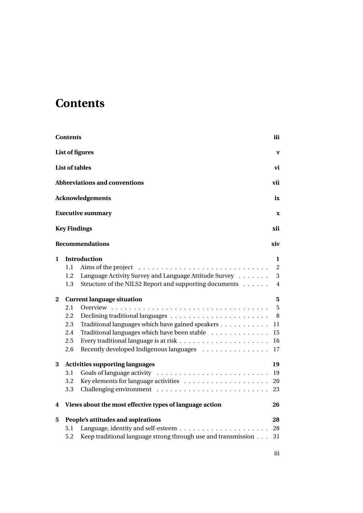# **Contents**

<span id="page-2-0"></span>

|              | <b>Contents</b> |                                                               | iii            |
|--------------|-----------------|---------------------------------------------------------------|----------------|
|              |                 | <b>List of figures</b>                                        | $\mathbf{V}$   |
|              |                 | <b>List of tables</b>                                         | vi             |
|              |                 | <b>Abbreviations and conventions</b>                          | vii            |
|              |                 | <b>Acknowledgements</b>                                       | ix             |
|              |                 | <b>Executive summary</b>                                      | $\mathbf X$    |
|              |                 | <b>Key Findings</b>                                           | xii            |
|              |                 | <b>Recommendations</b>                                        | xiv            |
| 1            |                 | <b>Introduction</b>                                           | 1              |
|              | 1.1             |                                                               | $\overline{c}$ |
|              | 1.2             | Language Activity Survey and Language Attitude Survey         | 3              |
|              | 1.3             | Structure of the NILS2 Report and supporting documents        | 4              |
| $\mathbf{2}$ |                 | <b>Current language situation</b>                             | 5              |
|              | 2.1             | Overview $\ldots$                                             | 5              |
|              | 2.2             |                                                               | $\, 8$         |
|              | 2.3             | Traditional languages which have gained speakers              | 11             |
|              | 2.4             | Traditional languages which have been stable                  | $15\,$         |
|              | 2.5             |                                                               | 16             |
|              | 2.6             | Recently developed Indigenous languages                       | 17             |
| 3            |                 | <b>Activities supporting languages</b>                        | 19             |
|              | 3.1             |                                                               | 19             |
|              | 3.2             |                                                               | 20             |
|              | 3.3             |                                                               | 23             |
| 4            |                 | Views about the most effective types of language action       | 26             |
| 5            |                 | People's attitudes and aspirations                            | 28             |
|              | 5.1             |                                                               | 28             |
|              | 5.2             | Keep traditional language strong through use and transmission | 31             |

iii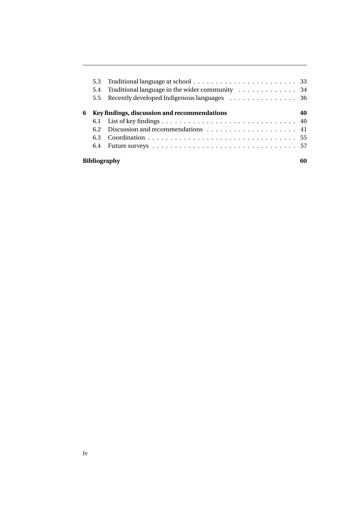|   | 5.3<br>5.4<br>$5.5^{\circ}$ | Traditional language in the wider community 34<br>Recently developed Indigenous languages 36 |    |
|---|-----------------------------|----------------------------------------------------------------------------------------------|----|
| 6 |                             | Key findings, discussion and recommendations                                                 | 40 |
|   |                             |                                                                                              |    |
|   | 6.2                         |                                                                                              |    |
|   | 6.3                         |                                                                                              |    |
|   | 6.4                         |                                                                                              |    |
|   |                             | <b>Bibliography</b>                                                                          |    |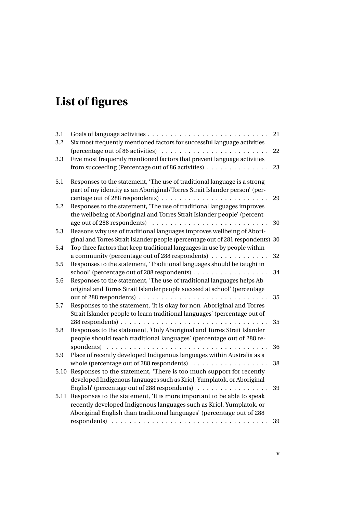# **List of figures**

<span id="page-4-0"></span>

| 3.1<br>3.2 | Six most frequently mentioned factors for successful language activities                                                                                                              | 21 |
|------------|---------------------------------------------------------------------------------------------------------------------------------------------------------------------------------------|----|
|            | (percentage out of 86 activities)                                                                                                                                                     | 22 |
| 3.3        | Five most frequently mentioned factors that prevent language activities<br>from succeeding (Percentage out of 86 activities)                                                          | 23 |
| 5.1        | Responses to the statement, 'The use of traditional language is a strong<br>part of my identity as an Aboriginal/Torres Strait Islander person' (per-                                 |    |
| 5.2        | centage out of 288 respondents)<br>Responses to the statement, 'The use of traditional languages improves<br>the wellbeing of Aboriginal and Torres Strait Islander people' (percent- | 29 |
| 5.3        | Reasons why use of traditional languages improves wellbeing of Abori-                                                                                                                 | 30 |
|            | ginal and Torres Strait Islander people (percentage out of 281 respondents) 30                                                                                                        |    |
| 5.4        | Top three factors that keep traditional languages in use by people within<br>a community (percentage out of 288 respondents)                                                          | 32 |
| 5.5        | Responses to the statement, 'Traditional languages should be taught in                                                                                                                |    |
|            | school' (percentage out of 288 respondents)                                                                                                                                           | 34 |
| 5.6        | Responses to the statement, 'The use of traditional languages helps Ab-<br>original and Torres Strait Islander people succeed at school' (percentage                                  |    |
|            | out of 288 respondents) $\ldots \ldots \ldots \ldots \ldots \ldots \ldots \ldots$                                                                                                     | 35 |
| 5.7        | Responses to the statement, 'It is okay for non-Aboriginal and Torres<br>Strait Islander people to learn traditional languages' (percentage out of                                    |    |
|            |                                                                                                                                                                                       | 35 |
| 5.8        | Responses to the statement, 'Only Aboriginal and Torres Strait Islander<br>people should teach traditional languages' (percentage out of 288 re-                                      |    |
|            | spondents)<br>$\frac{1}{2}$ , $\frac{1}{2}$ , $\frac{1}{2}$ , $\frac{1}{2}$ , $\frac{1}{2}$ , $\frac{1}{2}$ , $\frac{1}{2}$ , $\frac{1}{2}$ , $\frac{1}{2}$                           | 36 |
| 5.9        | Place of recently developed Indigenous languages within Australia as a<br>whole (percentage out of 288 respondents)                                                                   | 38 |
| 5.10       | Responses to the statement, 'There is too much support for recently<br>developed Indigenous languages such as Kriol, Yumplatok, or Aboriginal                                         |    |
|            | English' (percentage out of 288 respondents)                                                                                                                                          | 39 |
| 5.11       | Responses to the statement, 'It is more important to be able to speak<br>recently developed Indigenous languages such as Kriol, Yumplatok, or                                         |    |
|            | Aboriginal English than traditional languages' (percentage out of 288                                                                                                                 |    |
|            | $respondents) \ldots \ldots \ldots \ldots \ldots \ldots \ldots \ldots \ldots \ldots \ldots$                                                                                           | 39 |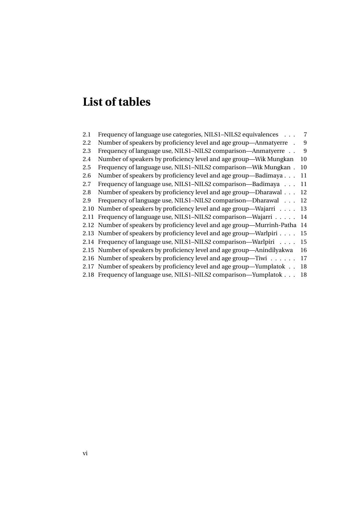# **List of tables**

<span id="page-5-0"></span>[2.1 Frequency of language use categories, NILS1–NILS2 equivalences](#page-22-0) . . . 7 [2.2 Number of speakers by proficiency level and age group—Anmatyerre](#page-24-0) . 9 2.3 Frequency of language use, NILS1-NILS2 comparison-Anmatyerre . . 9 [2.4 Number of speakers by proficiency level and age group—Wik Mungkan](#page-25-0) 10 [2.5 Frequency of language use, NILS1–NILS2 comparison—Wik Mungkan](#page-25-1) . 10 [2.6 Number of speakers by proficiency level and age group—Badimaya](#page-26-1) . . . 11 [2.7 Frequency of language use, NILS1–NILS2 comparison—Badimaya](#page-26-2) . . . 11 [2.8 Number of speakers by proficiency level and age group—Dharawal](#page-27-0) . . . 12 [2.9 Frequency of language use, NILS1–NILS2 comparison—Dharawal](#page-27-1) . . . 12 [2.10 Number of speakers by proficiency level and age group—Wajarri](#page-28-0) . . . . 13 2.11 Frequency of language use, NILS1-NILS2 comparison—Wajarri . . . . . 14 [2.12 Number of speakers by proficiency level and age group—Murrinh-Patha](#page-29-1) 14 [2.13 Number of speakers by proficiency level and age group—Warlpiri](#page-30-1) . . . . 15 [2.14 Frequency of language use, NILS1–NILS2 comparison—Warlpiri](#page-30-2) . . . . 15 [2.15 Number of speakers by proficiency level and age group—Anindilyakwa](#page-31-1) 16 [2.16 Number of speakers by proficiency level and age group—Tiwi](#page-32-1) . . . . . . 17 [2.17 Number of speakers by proficiency level and age group—Yumplatok](#page-33-0) . . 18 [2.18 Frequency of language use, NILS1–NILS2 comparison—Yumplatok](#page-33-1) . . . 18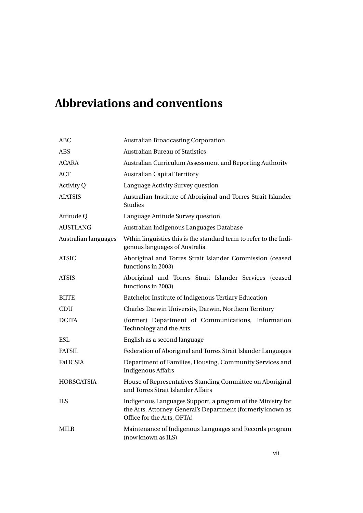# <span id="page-6-0"></span>**Abbreviations and conventions**

| ABC                  | <b>Australian Broadcasting Corporation</b>                                                                                                              |  |  |
|----------------------|---------------------------------------------------------------------------------------------------------------------------------------------------------|--|--|
| <b>ABS</b>           | <b>Australian Bureau of Statistics</b>                                                                                                                  |  |  |
| <b>ACARA</b>         | Australian Curriculum Assessment and Reporting Authority                                                                                                |  |  |
| <b>ACT</b>           | <b>Australian Capital Territory</b>                                                                                                                     |  |  |
| <b>Activity Q</b>    | Language Activity Survey question                                                                                                                       |  |  |
| <b>AIATSIS</b>       | Australian Institute of Aboriginal and Torres Strait Islander<br><b>Studies</b>                                                                         |  |  |
| Attitude Q           | Language Attitude Survey question                                                                                                                       |  |  |
| <b>AUSTLANG</b>      | Australian Indigenous Languages Database                                                                                                                |  |  |
| Australian languages | Wthin linguistics this is the standard term to refer to the Indi-<br>genous languages of Australia                                                      |  |  |
| <b>ATSIC</b>         | Aboriginal and Torres Strait Islander Commission (ceased<br>functions in 2003)                                                                          |  |  |
| <b>ATSIS</b>         | Aboriginal and Torres Strait Islander Services (ceased<br>functions in 2003)                                                                            |  |  |
| <b>BIITE</b>         | Batchelor Institute of Indigenous Tertiary Education                                                                                                    |  |  |
| CDU                  | Charles Darwin University, Darwin, Northern Territory                                                                                                   |  |  |
| <b>DCITA</b>         | (former) Department of Communications, Information<br>Technology and the Arts                                                                           |  |  |
| ESL                  | English as a second language                                                                                                                            |  |  |
| <b>FATSIL</b>        | Federation of Aboriginal and Torres Strait Islander Languages                                                                                           |  |  |
| FaHCSIA              | Department of Families, Housing, Community Services and<br><b>Indigenous Affairs</b>                                                                    |  |  |
| <b>HORSCATSIA</b>    | House of Representatives Standing Committee on Aboriginal<br>and Torres Strait Islander Affairs                                                         |  |  |
| <b>ILS</b>           | Indigenous Languages Support, a program of the Ministry for<br>the Arts, Attorney-General's Department (formerly known as<br>Office for the Arts, OFTA) |  |  |
| <b>MILR</b>          | Maintenance of Indigenous Languages and Records program<br>(now known as ILS)                                                                           |  |  |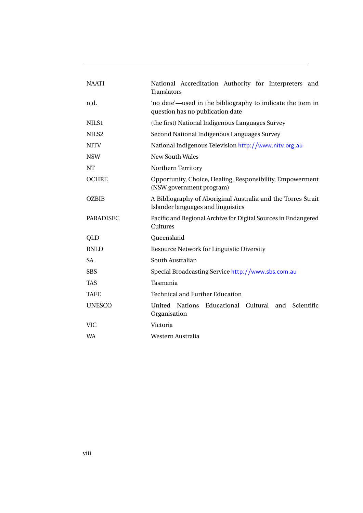| <b>NAATI</b>     | National Accreditation Authority for Interpreters and<br><b>Translators</b>                        |  |  |
|------------------|----------------------------------------------------------------------------------------------------|--|--|
| n.d.             | 'no date'—used in the bibliography to indicate the item in<br>question has no publication date     |  |  |
| NILS1            | (the first) National Indigenous Languages Survey                                                   |  |  |
| NILS2            | Second National Indigenous Languages Survey                                                        |  |  |
| <b>NITV</b>      | National Indigenous Television http://www.nitv.org.au                                              |  |  |
| <b>NSW</b>       | <b>New South Wales</b>                                                                             |  |  |
| NΤ               | Northern Territory                                                                                 |  |  |
| <b>OCHRE</b>     | Opportunity, Choice, Healing, Responsibility, Empowerment<br>(NSW government program)              |  |  |
| <b>OZBIB</b>     | A Bibliography of Aboriginal Australia and the Torres Strait<br>Islander languages and linguistics |  |  |
| <b>PARADISEC</b> | Pacific and Regional Archive for Digital Sources in Endangered<br>Cultures                         |  |  |
| QLD              | Queensland                                                                                         |  |  |
| <b>RNLD</b>      | Resource Network for Linguistic Diversity                                                          |  |  |
| <b>SA</b>        | South Australian                                                                                   |  |  |
| <b>SBS</b>       | Special Broadcasting Service http://www.sbs.com.au                                                 |  |  |
| TAS              | Tasmania                                                                                           |  |  |
| <b>TAFE</b>      | <b>Technical and Further Education</b>                                                             |  |  |
| <b>UNESCO</b>    | Nations<br>Educational Cultural and<br>United<br>Scientific<br>Organisation                        |  |  |
| VIC              | Victoria                                                                                           |  |  |
| WA               | Western Australia                                                                                  |  |  |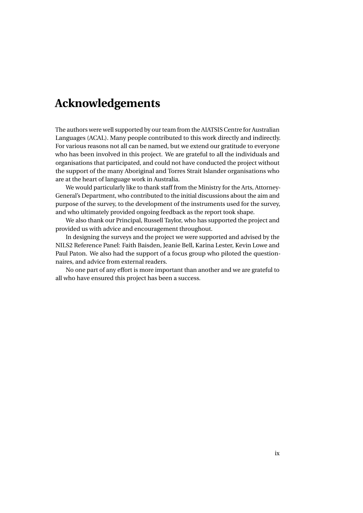# <span id="page-8-0"></span>**Acknowledgements**

The authors were well supported by our team from the AIATSIS Centre for Australian Languages (ACAL). Many people contributed to this work directly and indirectly. For various reasons not all can be named, but we extend our gratitude to everyone who has been involved in this project. We are grateful to all the individuals and organisations that participated, and could not have conducted the project without the support of the many Aboriginal and Torres Strait Islander organisations who are at the heart of language work in Australia.

We would particularly like to thank staff from the Ministry for the Arts, Attorney-General's Department, who contributed to the initial discussions about the aim and purpose of the survey, to the development of the instruments used for the survey, and who ultimately provided ongoing feedback as the report took shape.

We also thank our Principal, Russell Taylor, who has supported the project and provided us with advice and encouragement throughout.

In designing the surveys and the project we were supported and advised by the NILS2 Reference Panel: Faith Baisden, Jeanie Bell, Karina Lester, Kevin Lowe and Paul Paton. We also had the support of a focus group who piloted the questionnaires, and advice from external readers.

No one part of any effort is more important than another and we are grateful to all who have ensured this project has been a success.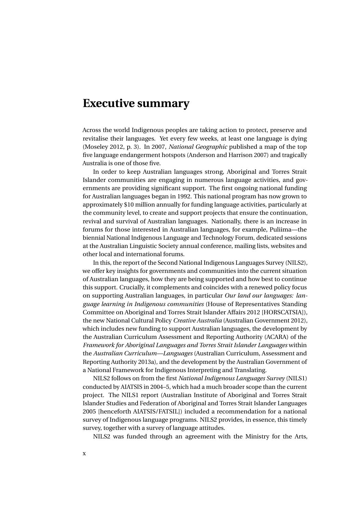### <span id="page-9-0"></span>**Executive summary**

Across the world Indigenous peoples are taking action to protect, preserve and revitalise their languages. Yet every few weeks, at least one language is dying (Moseley [2012,](#page-77-0) p. 3). In 2007, *National Geographic* published a map of the top five language endangerment hotspots (Anderson and Harrison [2007\)](#page-75-1) and tragically Australia is one of those five.

In order to keep Australian languages strong, Aboriginal and Torres Strait Islander communities are engaging in numerous language activities, and governments are providing significant support. The first ongoing national funding for Australian languages began in 1992. This national program has now grown to approximately \$10 million annually for funding language activities, particularly at the community level, to create and support projects that ensure the continuation, revival and survival of Australian languages. Nationally, there is an increase in forums for those interested in Australian languages, for example, Puliima—the biennial National Indigenous Language and Technology Forum, dedicated sessions at the Australian Linguistic Society annual conference, mailing lists, websites and other local and international forums.

In this, the report of the Second National Indigenous Languages Survey (NILS2), we offer key insights for governments and communities into the current situation of Australian languages, how they are being supported and how best to continue this support. Crucially, it complements and coincides with a renewed policy focus on supporting Australian languages, in particular *Our land our languages: language learning in Indigenous communities* (House of Representatives Standing Committee on Aboriginal and Torres Strait Islander Affairs 2012 [HORSCATSIA]), the new National Cultural Policy *Creative Australia* (Australian Government [2012\)](#page-75-2), which includes new funding to support Australian languages, the development by the Australian Curriculum Assessment and Reporting Authority (ACARA) of the *Framework for Aboriginal Languages and Torres Strait Islander Languages* within the *Australian Curriculum—Languages* (Australian Curriculum, Assessment and Reporting Authority [2013a\)](#page-75-3), and the development by the Australian Government of a National Framework for Indigenous Interpreting and Translating.

NILS2 follows on from the first *National Indigenous Languages Survey* (NILS1) conducted by AIATSIS in 2004–5, which had a much broader scope than the current project. The NILS1 report (Australian Institute of Aboriginal and Torres Strait Islander Studies and Federation of Aboriginal and Torres Strait Islander Languages 2005 [henceforth AIATSIS/FATSIL]) included a recommendation for a national survey of Indigenous language programs. NILS2 provides, in essence, this timely survey, together with a survey of language attitudes.

NILS2 was funded through an agreement with the Ministry for the Arts,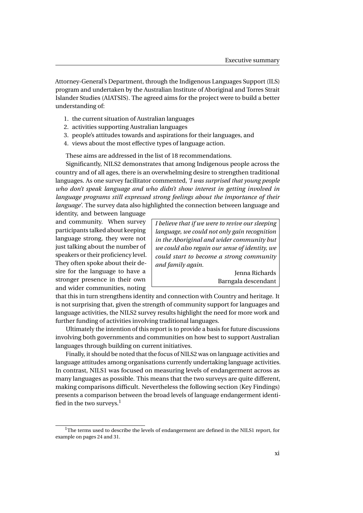Attorney-General's Department, through the Indigenous Languages Support (ILS) program and undertaken by the Australian Institute of Aboriginal and Torres Strait Islander Studies (AIATSIS). The agreed aims for the project were to build a better understanding of:

- 1. the current situation of Australian languages
- 2. activities supporting Australian languages
- 3. people's attitudes towards and aspirations for their languages, and
- 4. views about the most effective types of language action.

These aims are addressed in the list of 18 recommendations.

Significantly, NILS2 demonstrates that among Indigenous people across the country and of all ages, there is an overwhelming desire to strengthen traditional languages. As one survey facilitator commented, *'I was surprised that young people who don't speak language and who didn't show interest in getting involved in language programs still expressed strong feelings about the importance of their language'*. The survey data also highlighted the connection between language and

identity, and between language and community. When survey participants talked about keeping language strong, they were not just talking about the number of speakers or their proficiency level. They often spoke about their desire for the language to have a stronger presence in their own and wider communities, noting

*I believe that if we were to revive our sleeping language, we could not only gain recognition in the Aboriginal and wider community but we could also regain our sense of identity, we could start to become a strong community and family again.*

> Jenna Richards Barngala descendant

that this in turn strengthens identity and connection with Country and heritage. It is not surprising that, given the strength of community support for languages and language activities, the NILS2 survey results highlight the need for more work and further funding of activities involving traditional languages.

Ultimately the intention of this report is to provide a basis for future discussions involving both governments and communities on how best to support Australian languages through building on current initiatives.

Finally, it should be noted that the focus of NILS2 was on language activities and language attitudes among organisations currently undertaking language activities. In contrast, NILS1 was focused on measuring levels of endangerment across as many languages as possible. This means that the two surveys are quite different, making comparisons difficult. Nevertheless the following section (Key Findings) presents a comparison between the broad levels of language endangerment identified in the two surveys. $<sup>1</sup>$  $<sup>1</sup>$  $<sup>1</sup>$ </sup>

<span id="page-10-0"></span><sup>&</sup>lt;sup>1</sup>The terms used to describe the levels of endangerment are defined in the NILS1 report, for example on pages 24 and 31.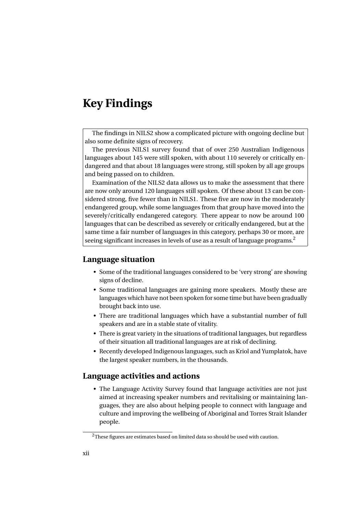## <span id="page-11-0"></span>**Key Findings**

The findings in NILS2 show a complicated picture with ongoing decline but also some definite signs of recovery.

The previous NILS1 survey found that of over 250 Australian Indigenous languages about 145 were still spoken, with about 110 severely or critically endangered and that about 18 languages were strong, still spoken by all age groups and being passed on to children.

Examination of the NILS2 data allows us to make the assessment that there are now only around 120 languages still spoken. Of these about 13 can be considered strong, five fewer than in NILS1. These five are now in the moderately endangered group, while some languages from that group have moved into the severely/critically endangered category. There appear to now be around 100 languages that can be described as severely or critically endangered, but at the same time a fair number of languages in this category, perhaps 30 or more, are seeing significant increases in levels of use as a result of language programs.<sup>[2](#page-11-1)</sup>

#### **Language situation**

- Some of the traditional languages considered to be 'very strong' are showing signs of decline.
- Some traditional languages are gaining more speakers. Mostly these are languages which have not been spoken for some time but have been gradually brought back into use.
- There are traditional languages which have a substantial number of full speakers and are in a stable state of vitality.
- There is great variety in the situations of traditional languages, but regardless of their situation all traditional languages are at risk of declining.
- Recently developed Indigenous languages, such as Kriol and Yumplatok, have the largest speaker numbers, in the thousands.

#### **Language activities and actions**

• The Language Activity Survey found that language activities are not just aimed at increasing speaker numbers and revitalising or maintaining languages, they are also about helping people to connect with language and culture and improving the wellbeing of Aboriginal and Torres Strait Islander people.

<span id="page-11-1"></span><sup>&</sup>lt;sup>2</sup>These figures are estimates based on limited data so should be used with caution.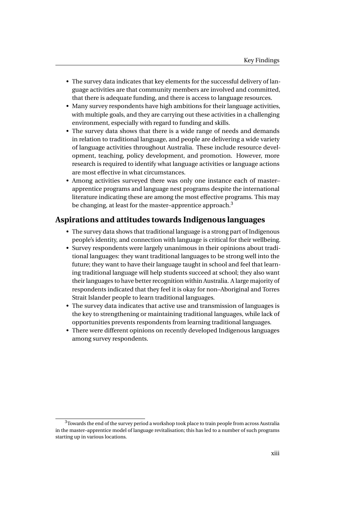- The survey data indicates that key elements for the successful delivery of language activities are that community members are involved and committed, that there is adequate funding, and there is access to language resources.
- Many survey respondents have high ambitions for their language activities, with multiple goals, and they are carrying out these activities in a challenging environment, especially with regard to funding and skills.
- The survey data shows that there is a wide range of needs and demands in relation to traditional language, and people are delivering a wide variety of language activities throughout Australia. These include resource development, teaching, policy development, and promotion. However, more research is required to identify what language activities or language actions are most effective in what circumstances.
- Among activities surveyed there was only one instance each of master– apprentice programs and language nest programs despite the international literature indicating these are among the most effective programs. This may be changing, at least for the master-apprentice approach.<sup>[3](#page-12-0)</sup>

#### **Aspirations and attitudes towards Indigenous languages**

- The survey data shows that traditional language is a strong part of Indigenous people's identity, and connection with language is critical for their wellbeing.
- Survey respondents were largely unanimous in their opinions about traditional languages: they want traditional languages to be strong well into the future; they want to have their language taught in school and feel that learning traditional language will help students succeed at school; they also want their languages to have better recognition within Australia. A large majority of respondents indicated that they feel it is okay for non–Aboriginal and Torres Strait Islander people to learn traditional languages.
- The survey data indicates that active use and transmission of languages is the key to strengthening or maintaining traditional languages, while lack of opportunities prevents respondents from learning traditional languages.
- There were different opinions on recently developed Indigenous languages among survey respondents.

<span id="page-12-0"></span><sup>&</sup>lt;sup>3</sup>Towards the end of the survey period a workshop took place to train people from across Australia in the master–apprentice model of language revitalisation; this has led to a number of such programs starting up in various locations.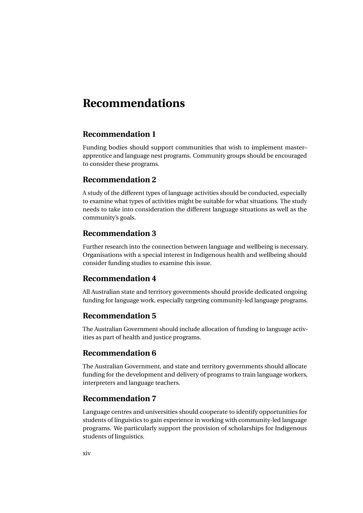### <span id="page-13-0"></span>**Recommendations**

#### **Recommendation 1**

Funding bodies should support communities that wish to implement master– apprentice and language nest programs. Community groups should be encouraged to consider these programs.

#### **Recommendation 2**

A study of the different types of language activities should be conducted, especially to examine what types of activities might be suitable for what situations. The study needs to take into consideration the different language situations as well as the community's goals.

#### **Recommendation 3**

Further research into the connection between language and wellbeing is necessary. Organisations with a special interest in Indigenous health and wellbeing should consider funding studies to examine this issue.

#### **Recommendation 4**

All Australian state and territory governments should provide dedicated ongoing funding for language work, especially targeting community-led language programs.

#### **Recommendation 5**

The Australian Government should include allocation of funding to language activities as part of health and justice programs.

#### **Recommendation 6**

The Australian Government, and state and territory governments should allocate funding for the development and delivery of programs to train language workers, interpreters and language teachers.

#### **Recommendation 7**

Language centres and universities should cooperate to identify opportunities for students of linguistics to gain experience in working with community-led language programs. We particularly support the provision of scholarships for Indigenous students of linguistics.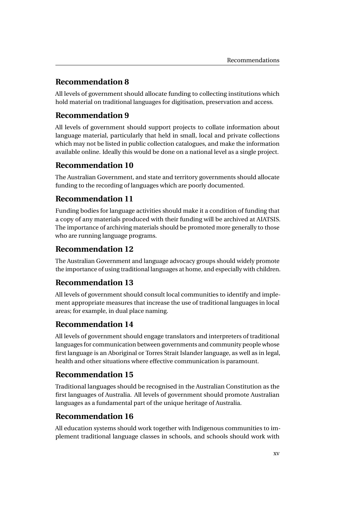### **Recommendation 8**

All levels of government should allocate funding to collecting institutions which hold material on traditional languages for digitisation, preservation and access.

### **Recommendation 9**

All levels of government should support projects to collate information about language material, particularly that held in small, local and private collections which may not be listed in public collection catalogues, and make the information available online. Ideally this would be done on a national level as a single project.

### **Recommendation 10**

The Australian Government, and state and territory governments should allocate funding to the recording of languages which are poorly documented.

### **Recommendation 11**

Funding bodies for language activities should make it a condition of funding that a copy of any materials produced with their funding will be archived at AIATSIS. The importance of archiving materials should be promoted more generally to those who are running language programs.

### **Recommendation 12**

The Australian Government and language advocacy groups should widely promote the importance of using traditional languages at home, and especially with children.

### **Recommendation 13**

All levels of government should consult local communities to identify and implement appropriate measures that increase the use of traditional languages in local areas; for example, in dual place naming.

### **Recommendation 14**

All levels of government should engage translators and interpreters of traditional languages for communication between governments and community people whose first language is an Aboriginal or Torres Strait Islander language, as well as in legal, health and other situations where effective communication is paramount.

#### **Recommendation 15**

Traditional languages should be recognised in the Australian Constitution as the first languages of Australia. All levels of government should promote Australian languages as a fundamental part of the unique heritage of Australia.

#### **Recommendation 16**

All education systems should work together with Indigenous communities to implement traditional language classes in schools, and schools should work with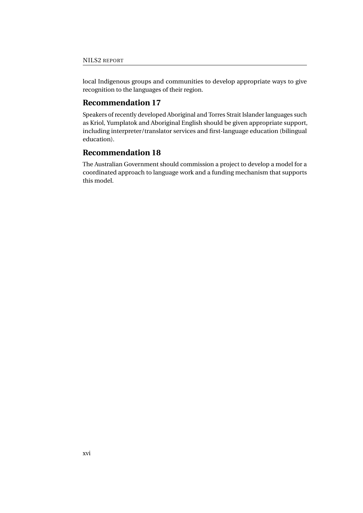local Indigenous groups and communities to develop appropriate ways to give recognition to the languages of their region.

#### **Recommendation 17**

Speakers of recently developed Aboriginal and Torres Strait Islander languages such as Kriol, Yumplatok and Aboriginal English should be given appropriate support, including interpreter/translator services and first-language education (bilingual education).

#### **Recommendation 18**

The Australian Government should commission a project to develop a model for a coordinated approach to language work and a funding mechanism that supports this model.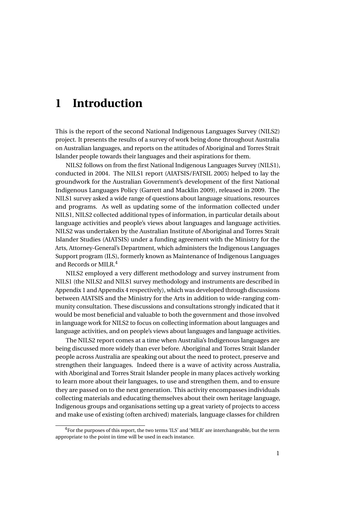# <span id="page-16-0"></span>**1 Introduction**

This is the report of the second National Indigenous Languages Survey (NILS2) project. It presents the results of a survey of work being done throughout Australia on Australian languages, and reports on the attitudes of Aboriginal and Torres Strait Islander people towards their languages and their aspirations for them.

NILS2 follows on from the first National Indigenous Languages Survey (NILS1), conducted in 2004. The NILS1 report [\(AIATSIS/FATSIL 2005\)](#page-75-4) helped to lay the groundwork for the Australian Government's development of the first National Indigenous Languages Policy (Garrett and Macklin [2009\)](#page-76-0), released in 2009. The NILS1 survey asked a wide range of questions about language situations, resources and programs. As well as updating some of the information collected under NILS1, NILS2 collected additional types of information, in particular details about language activities and people's views about languages and language activities. NILS2 was undertaken by the Australian Institute of Aboriginal and Torres Strait Islander Studies (AIATSIS) under a funding agreement with the Ministry for the Arts, Attorney-General's Department, which administers the Indigenous Languages Support program (ILS), formerly known as Maintenance of Indigenous Languages and Records or MILR.<sup>[4](#page-16-1)</sup>

NILS2 employed a very different methodology and survey instrument from NILS1 (the NILS2 and NILS1 survey methodology and instruments are described in Appendix 1 and Appendix 4 respectively), which was developed through discussions between AIATSIS and the Ministry for the Arts in addition to wide-ranging community consultation. These discussions and consultations strongly indicated that it would be most beneficial and valuable to both the government and those involved in language work for NILS2 to focus on collecting information about languages and language activities, and on people's views about languages and language activities.

The NILS2 report comes at a time when Australia's Indigenous languages are being discussed more widely than ever before. Aboriginal and Torres Strait Islander people across Australia are speaking out about the need to protect, preserve and strengthen their languages. Indeed there is a wave of activity across Australia, with Aboriginal and Torres Strait Islander people in many places actively working to learn more about their languages, to use and strengthen them, and to ensure they are passed on to the next generation. This activity encompasses individuals collecting materials and educating themselves about their own heritage language, Indigenous groups and organisations setting up a great variety of projects to access and make use of existing (often archived) materials, language classes for children

<span id="page-16-1"></span><sup>&</sup>lt;sup>4</sup>For the purposes of this report, the two terms 'ILS' and 'MILR' are interchangeable, but the term appropriate to the point in time will be used in each instance.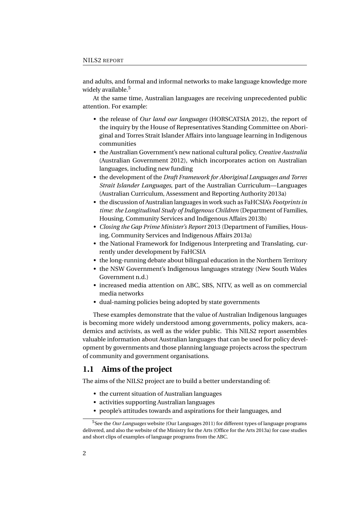and adults, and formal and informal networks to make language knowledge more widely available.<sup>[5](#page-17-1)</sup>

At the same time, Australian languages are receiving unprecedented public attention. For example:

- the release of *Our land our languages* [\(HORSCATSIA 2012\)](#page-76-1), the report of the inquiry by the House of Representatives Standing Committee on Aboriginal and Torres Strait Islander Affairs into language learning in Indigenous communities
- the Australian Government's new national cultural policy, *Creative Australia* (Australian Government [2012\)](#page-75-2), which incorporates action on Australian languages, including new funding
- the development of the *Draft Framework for Aboriginal Languages and Torres Strait Islander Languages*, part of the Australian Curriculum—Languages (Australian Curriculum, Assessment and Reporting Authority [2013a\)](#page-75-3)
- the discussion of Australian languages in work such as FaHCSIA's *Footprints in time: the Longitudinal Study of Indigenous Children* (Department of Families, Housing, Community Services and Indigenous Affairs [2013b\)](#page-76-2)
- *Closing the Gap Prime Minister's Report* 2013 (Department of Families, Housing, Community Services and Indigenous Affairs [2013a\)](#page-76-3)
- the National Framework for Indigenous Interpreting and Translating, currently under development by FaHCSIA
- the long-running debate about bilingual education in the Northern Territory
- the NSW Government's Indigenous languages strategy (New South Wales Government [n.d.\)](#page-77-1)
- increased media attention on ABC, SBS, NITV, as well as on commercial media networks
- dual-naming policies being adopted by state governments

These examples demonstrate that the value of Australian Indigenous languages is becoming more widely understood among governments, policy makers, academics and activists, as well as the wider public. This NILS2 report assembles valuable information about Australian languages that can be used for policy development by governments and those planning language projects across the spectrum of community and government organisations.

#### <span id="page-17-0"></span>**1.1 Aims of the project**

The aims of the NILS2 project are to build a better understanding of:

- the current situation of Australian languages
- activities supporting Australian languages
- <span id="page-17-1"></span>• people's attitudes towards and aspirations for their languages, and

<sup>5</sup>See the *Our Languages* website (Our Languages [2011\)](#page-78-0) for different types of language programs delivered, and also the website of the Ministry for the Arts (Office for the Arts [2013a\)](#page-77-2) for case studies and short clips of examples of language programs from the ABC.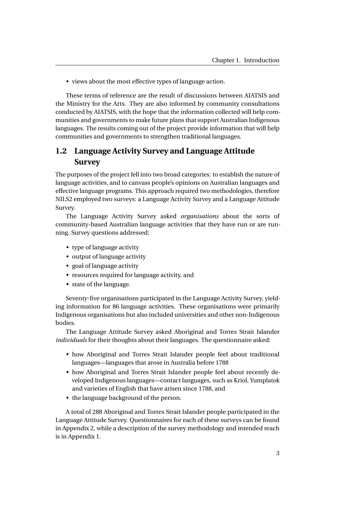• views about the most effective types of language action.

These terms of reference are the result of discussions between AIATSIS and the Ministry for the Arts. They are also informed by community consultations conducted by AIATSIS, with the hope that the information collected will help communities and governments to make future plans that support Australian Indigenous languages. The results coming out of the project provide information that will help communities and governments to strengthen traditional languages.

### <span id="page-18-0"></span>**1.2 Language Activity Survey and Language Attitude Survey**

The purposes of the project fell into two broad categories: to establish the nature of language activities, and to canvass people's opinions on Australian languages and effective language programs. This approach required two methodologies, therefore NILS2 employed two surveys: a Language Activity Survey and a Language Attitude Survey.

The Language Activity Survey asked *organisations* about the sorts of community-based Australian language activities that they have run or are running. Survey questions addressed:

- type of language activity
- output of language activity
- goal of language activity
- resources required for language activity, and
- state of the language.

Seventy-five organisations participated in the Language Activity Survey, yielding information for 86 language activities. These organisations were primarily Indigenous organisations but also included universities and other non-Indigenous bodies.

The Language Attitude Survey asked Aboriginal and Torres Strait Islander *individuals* for their thoughts about their languages. The questionnaire asked:

- how Aboriginal and Torres Strait Islander people feel about traditional languages—languages that arose in Australia before 1788
- how Aboriginal and Torres Strait Islander people feel about recently developed Indigenous languages—contact languages, such as Kriol, Yumplatok and varieties of English that have arisen since 1788, and
- the language background of the person.

A total of 288 Aboriginal and Torres Strait Islander people participated in the Language Attitude Survey. Questionnaires for each of these surveys can be found in Appendix 2, while a description of the survey methodology and intended reach is in Appendix 1.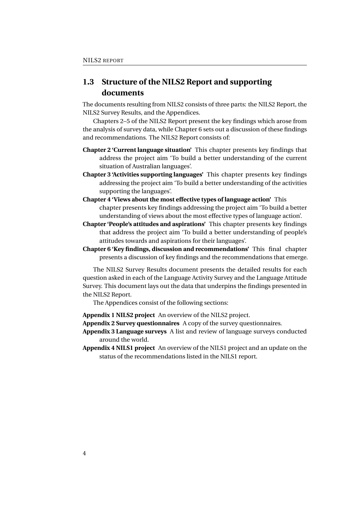### <span id="page-19-0"></span>**1.3 Structure of the NILS2 Report and supporting documents**

The documents resulting from NILS2 consists of three parts: the NILS2 Report, the NILS2 Survey Results, and the Appendices.

Chapters 2–5 of the NILS2 Report present the key findings which arose from the analysis of survey data, while Chapter 6 sets out a discussion of these findings and recommendations. The NILS2 Report consists of:

- **Chapter 2 'Current language situation'** This chapter presents key findings that address the project aim 'To build a better understanding of the current situation of Australian languages'.
- **Chapter 3 'Activities supporting languages'** This chapter presents key findings addressing the project aim 'To build a better understanding of the activities supporting the languages'.
- **Chapter 4 'Views about the most effective types of language action'** This chapter presents key findings addressing the project aim 'To build a better understanding of views about the most effective types of language action'.
- **Chapter 'People's attitudes and aspirations'** This chapter presents key findings that address the project aim 'To build a better understanding of people's attitudes towards and aspirations for their languages'.
- **Chapter 6 'Key findings, discussion and recommendations'** This final chapter presents a discussion of key findings and the recommendations that emerge.

The NILS2 Survey Results document presents the detailed results for each question asked in each of the Language Activity Survey and the Language Attitude Survey. This document lays out the data that underpins the findings presented in the NILS2 Report.

The Appendices consist of the following sections:

**Appendix 1 NILS2 project** An overview of the NILS2 project.

**Appendix 2 Survey questionnaires** A copy of the survey questionnaires.

- **Appendix 3 Language surveys** A list and review of language surveys conducted around the world.
- **Appendix 4 NILS1 project** An overview of the NILS1 project and an update on the status of the recommendations listed in the NILS1 report.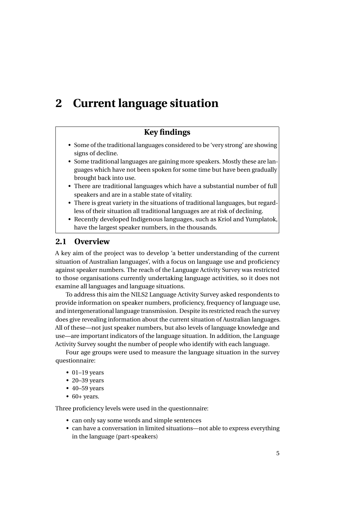# <span id="page-20-0"></span>**2 Current language situation**

### **Key findings**

- Some of the traditional languages considered to be 'very strong' are showing signs of decline.
- Some traditional languages are gaining more speakers. Mostly these are languages which have not been spoken for some time but have been gradually brought back into use.
- There are traditional languages which have a substantial number of full speakers and are in a stable state of vitality.
- There is great variety in the situations of traditional languages, but regardless of their situation all traditional languages are at risk of declining.
- Recently developed Indigenous languages, such as Kriol and Yumplatok, have the largest speaker numbers, in the thousands.

#### <span id="page-20-1"></span>**2.1 Overview**

A key aim of the project was to develop 'a better understanding of the current situation of Australian languages', with a focus on language use and proficiency against speaker numbers. The reach of the Language Activity Survey was restricted to those organisations currently undertaking language activities, so it does not examine all languages and language situations.

To address this aim the NILS2 Language Activity Survey asked respondents to provide information on speaker numbers, proficiency, frequency of language use, and intergenerational language transmission. Despite its restricted reach the survey does give revealing information about the current situation of Australian languages. All of these—not just speaker numbers, but also levels of language knowledge and use—are important indicators of the language situation. In addition, the Language Activity Survey sought the number of people who identify with each language.

Four age groups were used to measure the language situation in the survey questionnaire:

- $\bullet$  01–19 years
- 20–39 years
- 40–59 years
- $\bullet$  60+ years.

Three proficiency levels were used in the questionnaire:

- can only say some words and simple sentences
- can have a conversation in limited situations—not able to express everything in the language (part-speakers)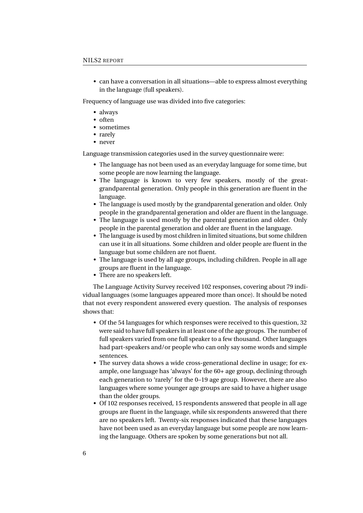• can have a conversation in all situations—able to express almost everything in the language (full speakers).

Frequency of language use was divided into five categories:

- always
- often
- sometimes
- rarely
- never

Language transmission categories used in the survey questionnaire were:

- The language has not been used as an everyday language for some time, but some people are now learning the language.
- The language is known to very few speakers, mostly of the greatgrandparental generation. Only people in this generation are fluent in the language.
- The language is used mostly by the grandparental generation and older. Only people in the grandparental generation and older are fluent in the language.
- The language is used mostly by the parental generation and older. Only people in the parental generation and older are fluent in the language.
- The language is used by most children in limited situations, but some children can use it in all situations. Some children and older people are fluent in the language but some children are not fluent.
- The language is used by all age groups, including children. People in all age groups are fluent in the language.
- There are no speakers left.

The Language Activity Survey received 102 responses, covering about 79 individual languages (some languages appeared more than once). It should be noted that not every respondent answered every question. The analysis of responses shows that:

- Of the 54 languages for which responses were received to this question, 32 were said to have full speakers in at least one of the age groups. The number of full speakers varied from one full speaker to a few thousand. Other languages had part-speakers and/or people who can only say some words and simple sentences.
- The survey data shows a wide cross-generational decline in usage; for example, one language has 'always' for the 60+ age group, declining through each generation to 'rarely' for the 0–19 age group. However, there are also languages where some younger age groups are said to have a higher usage than the older groups.
- Of 102 responses received, 15 respondents answered that people in all age groups are fluent in the language, while six respondents answered that there are no speakers left. Twenty-six responses indicated that these languages have not been used as an everyday language but some people are now learning the language. Others are spoken by some generations but not all.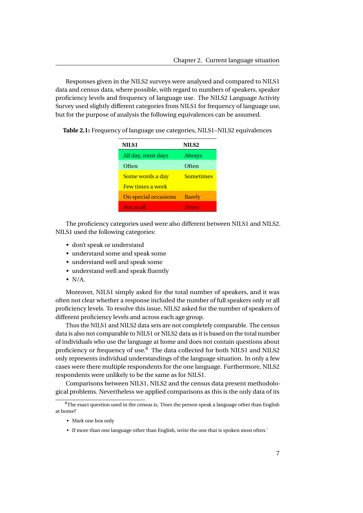Responses given in the NILS2 surveys were analysed and compared to NILS1 data and census data, where possible, with regard to numbers of speakers, speaker proficiency levels and frequency of language use. The NILS2 Language Activity Survey used slightly different categories from NILS1 for frequency of language use, but for the purpose of analysis the following equivalences can be assumed.

<span id="page-22-0"></span>

|  |  |  | Table 2.1: Frequency of language use categories, NILS1-NILS2 equivalences |
|--|--|--|---------------------------------------------------------------------------|
|--|--|--|---------------------------------------------------------------------------|

| <b>NILS1</b>            | NILS <sub>2</sub> |  |
|-------------------------|-------------------|--|
| All day, most days      | <b>Always</b>     |  |
| Often                   | Often             |  |
| Some words a day        | <b>Sometimes</b>  |  |
| <b>Few times a week</b> |                   |  |
| On special occasions    | Rarely            |  |
| Not at all              | <b>Never</b>      |  |

The proficiency categories used were also different between NILS1 and NILS2. NILS1 used the following categories:

- don't speak or understand
- understand some and speak some
- understand well and speak some
- understand well and speak fluently
- $\bullet$  N/A.

Moreover, NILS1 simply asked for the total number of speakers, and it was often not clear whether a response included the number of full speakers only or all proficiency levels. To resolve this issue, NILS2 asked for the number of speakers of different proficiency levels and across each age group.

Thus the NILS1 and NILS2 data sets are not completely comparable. The census data is also not comparable to NILS1 or NILS2 data as it is based on the total number of individuals who use the language at home and does not contain questions about proficiency or frequency of use.<sup>[6](#page-22-1)</sup> The data collected for both NILS1 and NILS2 only represents individual understandings of the language situation. In only a few cases were there multiple respondents for the one language. Furthermore, NILS2 respondents were unlikely to be the same as for NILS1.

Comparisons between NILS1, NILS2 and the census data present methodological problems. Nevertheless we applied comparisons as this is the only data of its

- Mark one box only
- If more than one language other than English, write the one that is spoken most often.'

<span id="page-22-1"></span> $6$ The exact question used in the census is, 'Does the person speak a language other than English at home?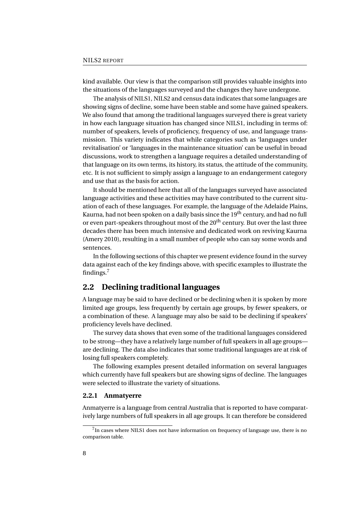kind available. Our view is that the comparison still provides valuable insights into the situations of the languages surveyed and the changes they have undergone.

The analysis of NILS1, NILS2 and census data indicates that some languages are showing signs of decline, some have been stable and some have gained speakers. We also found that among the traditional languages surveyed there is great variety in how each language situation has changed since NILS1, including in terms of: number of speakers, levels of proficiency, frequency of use, and language transmission. This variety indicates that while categories such as 'languages under revitalisation' or 'languages in the maintenance situation' can be useful in broad discussions, work to strengthen a language requires a detailed understanding of that language on its own terms, its history, its status, the attitude of the community, etc. It is not sufficient to simply assign a language to an endangerment category and use that as the basis for action.

It should be mentioned here that all of the languages surveyed have associated language activities and these activities may have contributed to the current situation of each of these languages. For example, the language of the Adelaide Plains, Kaurna, had not been spoken on a daily basis since the  $19<sup>th</sup>$  century, and had no full or even part-speakers throughout most of the 20<sup>th</sup> century. But over the last three decades there has been much intensive and dedicated work on reviving Kaurna (Amery [2010\)](#page-75-5), resulting in a small number of people who can say some words and sentences.

In the following sections of this chapter we present evidence found in the survey data against each of the key findings above, with specific examples to illustrate the findings.[7](#page-23-1)

#### <span id="page-23-0"></span>**2.2 Declining traditional languages**

A language may be said to have declined or be declining when it is spoken by more limited age groups, less frequently by certain age groups, by fewer speakers, or a combination of these. A language may also be said to be declining if speakers' proficiency levels have declined.

The survey data shows that even some of the traditional languages considered to be strong—they have a relatively large number of full speakers in all age groups are declining. The data also indicates that some traditional languages are at risk of losing full speakers completely.

The following examples present detailed information on several languages which currently have full speakers but are showing signs of decline. The languages were selected to illustrate the variety of situations.

#### **2.2.1 Anmatyerre**

Anmatyerre is a language from central Australia that is reported to have comparatively large numbers of full speakers in all age groups. It can therefore be considered

<span id="page-23-1"></span> $7$ In cases where NILS1 does not have information on frequency of language use, there is no comparison table.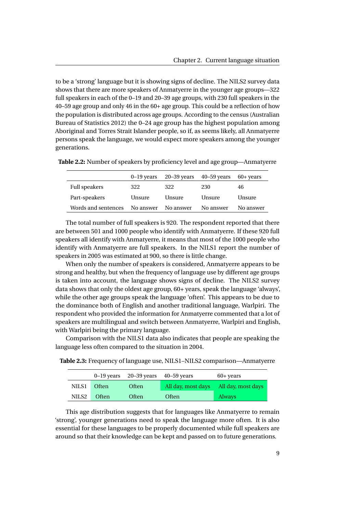to be a 'strong' language but it is showing signs of decline. The NILS2 survey data shows that there are more speakers of Anmatyerre in the younger age groups—322 full speakers in each of the 0–19 and 20–39 age groups, with 230 full speakers in the 40–59 age group and only 46 in the 60+ age group. This could be a reflection of how the population is distributed across age groups. According to the census (Australian Bureau of Statistics [2012\)](#page-75-6) the 0–24 age group has the highest population among Aboriginal and Torres Strait Islander people, so if, as seems likely, all Anmatyerre persons speak the language, we would expect more speakers among the younger generations.

<span id="page-24-0"></span>

|                     | $0 - 19$ years |           | $20-39$ years $40-59$ years | 60+ years |
|---------------------|----------------|-----------|-----------------------------|-----------|
| Full speakers       | 322            | 322       | 230                         | 46        |
| Part-speakers       | Unsure         | Unsure    | Unsure                      | Unsure    |
| Words and sentences | No answer      | No answer | No answer                   | No answer |

**Table 2.2:** Number of speakers by proficiency level and age group—Anmatyerre

The total number of full speakers is 920. The respondent reported that there are between 501 and 1000 people who identify with Anmatyerre. If these 920 full speakers all identify with Anmatyerre, it means that most of the 1000 people who identify with Anmatyerre are full speakers. In the NILS1 report the number of speakers in 2005 was estimated at 900, so there is little change.

When only the number of speakers is considered, Anmatyerre appears to be strong and healthy, but when the frequency of language use by different age groups is taken into account, the language shows signs of decline. The NILS2 survey data shows that only the oldest age group, 60+ years, speak the language 'always', while the other age groups speak the language 'often'. This appears to be due to the dominance both of English and another traditional language, Warlpiri. The respondent who provided the information for Anmatyerre commented that a lot of speakers are multilingual and switch between Anmatyerre, Warlpiri and English, with Warlpiri being the primary language.

Comparison with the NILS1 data also indicates that people are speaking the language less often compared to the situation in 2004.

|  | <b>Table 2.3:</b> Frequency of language use, NILS1–NILS2 comparison—Anmatyerre |
|--|--------------------------------------------------------------------------------|
|--|--------------------------------------------------------------------------------|

<span id="page-24-1"></span>

|       |         | $0-19$ years $20-39$ years $40-59$ years |       | $60+$ years                           |
|-------|---------|------------------------------------------|-------|---------------------------------------|
| NILS1 | - Often | <b>Often</b>                             |       | All day, most days All day, most days |
| NILS2 | - Often | Often                                    | Often | <b>Always</b>                         |

This age distribution suggests that for languages like Anmatyerre to remain 'strong', younger generations need to speak the language more often. It is also essential for these languages to be properly documented while full speakers are around so that their knowledge can be kept and passed on to future generations.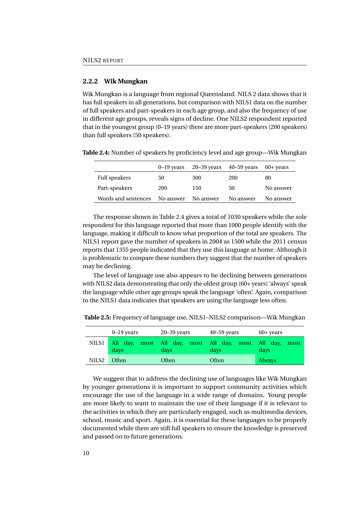#### **2.2.2 Wik Mungkan**

Wik Mungkan is a language from regional Queensland. NILS 2 data shows that it has full speakers in all generations, but comparison with NILS1 data on the number of full speakers and part-speakers in each age group, and also the frequency of use in different age groups, reveals signs of decline. One NILS2 respondent reported that in the youngest group (0–19 years) there are more part-speakers (200 speakers) than full speakers (50 speakers).

<span id="page-25-0"></span>

|                      | $0-19$ years |           | $20-39$ years $40-59$ years | 60+ years |
|----------------------|--------------|-----------|-----------------------------|-----------|
| <b>Full speakers</b> | 50           | 300       | 200                         | 80        |
| Part-speakers        | 200          | 150       | 50                          | No answer |
| Words and sentences  | No answer    | No answer | No answer                   | No answer |

**Table 2.4:** Number of speakers by proficiency level and age group—Wik Mungkan

The response shown in Table [2.4](#page-25-0) gives a total of 1030 speakers while the sole respondent for this language reported that more than 1000 people identify with the language, making it difficult to know what proportion of the total are speakers. The NILS1 report gave the number of speakers in 2004 as 1500 while the 2011 census reports that 1355 people indicated that they use this language at home. Although it is problematic to compare these numbers they suggest that the number of speakers may be declining.

The level of language use also appears to be declining between generations with NILS2 data demonstrating that only the oldest group (60+ years) 'always' speak the language while other age groups speak the language 'often'. Again, comparison to the NILS1 data indicates that speakers are using the language less often.

|       | $0-19$ years | $20 - 39$ years                                                       | $40 - 59$ years | $60+$ years   |
|-------|--------------|-----------------------------------------------------------------------|-----------------|---------------|
|       | days         | NILS1 All day, most All day, most All day, most All day, most<br>days | davs            | days          |
| NILS2 | <b>Often</b> | Often                                                                 | Often           | <b>Always</b> |

<span id="page-25-1"></span>**Table 2.5:** Frequency of language use, NILS1–NILS2 comparison—Wik Mungkan

We suggest that to address the declining use of languages like Wik Mungkan by younger generations it is important to support community activities which encourage the use of the language in a wide range of domains. Young people are more likely to want to maintain the use of their language if it is relevant to the activities in which they are particularly engaged, such as multimedia devices, school, music and sport. Again, it is essential for these languages to be properly documented while there are still full speakers to ensure the knowledge is preserved and passed on to future generations.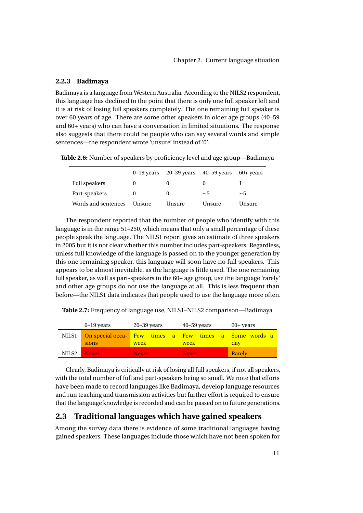#### **2.2.3 Badimaya**

Badimaya is a language from Western Australia. According to the NILS2 respondent, this language has declined to the point that there is only one full speaker left and it is at risk of losing full speakers completely. The one remaining full speaker is over 60 years of age. There are some other speakers in older age groups (40–59 and 60+ years) who can have a conversation in limited situations. The response also suggests that there could be people who can say several words and simple sentences—the respondent wrote 'unsure' instead of '0'.

**Table 2.6:** Number of speakers by proficiency level and age group—Badimaya

<span id="page-26-1"></span>

|                     |        | $0-19$ years $20-39$ years $40-59$ years |        | $60+$ years |
|---------------------|--------|------------------------------------------|--------|-------------|
| Full speakers       |        |                                          |        |             |
| Part-speakers       |        |                                          | ~5     | ~5          |
| Words and sentences | Unsure | Unsure                                   | Unsure | Unsure      |

The respondent reported that the number of people who identify with this language is in the range 51–250, which means that only a small percentage of these people speak the language. The NILS1 report gives an estimate of three speakers in 2005 but it is not clear whether this number includes part-speakers. Regardless, unless full knowledge of the language is passed on to the younger generation by this one remaining speaker, this language will soon have no full speakers. This appears to be almost inevitable, as the language is little used. The one remaining full speaker, as well as part-speakers in the  $60+$  age group, use the language 'rarely' and other age groups do not use the language at all. This is less frequent than before—the NILS1 data indicates that people used to use the language more often.

<span id="page-26-2"></span>**Table 2.7:** Frequency of language use, NILS1–NILS2 comparison—Badimaya

|                   | $0-19$ years | $20 - 39$ years                                               | $40 - 59$ years | $60+$ years |
|-------------------|--------------|---------------------------------------------------------------|-----------------|-------------|
| NILS1             | sions        | On special occa- Few times a Few times a Some words a<br>week | week            | day         |
| NILS <sub>2</sub> | Never        | Never                                                         | Never           | Rarely      |

Clearly, Badimaya is critically at risk of losing all full speakers, if not all speakers, with the total number of full and part-speakers being so small. We note that efforts have been made to record languages like Badimaya, develop language resources and run teaching and transmission activities but further effort is required to ensure that the language knowledge is recorded and can be passed on to future generations.

#### <span id="page-26-0"></span>**2.3 Traditional languages which have gained speakers**

Among the survey data there is evidence of some traditional languages having gained speakers. These languages include those which have not been spoken for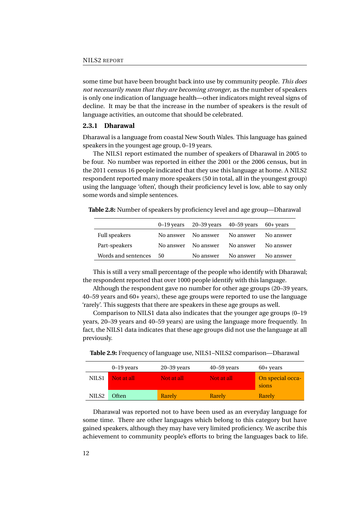some time but have been brought back into use by community people. *This does not necessarily mean that they are becoming stronger*, as the number of speakers is only one indication of language health—other indicators might reveal signs of decline. It may be that the increase in the number of speakers is the result of language activities, an outcome that should be celebrated.

#### **2.3.1 Dharawal**

Dharawal is a language from coastal New South Wales. This language has gained speakers in the youngest age group, 0–19 years.

The NILS1 report estimated the number of speakers of Dharawal in 2005 to be four. No number was reported in either the 2001 or the 2006 census, but in the 2011 census 16 people indicated that they use this language at home. A NILS2 respondent reported many more speakers (50 in total, all in the youngest group) using the language 'often', though their proficiency level is low, able to say only some words and simple sentences.

**Table 2.8:** Number of speakers by proficiency level and age group—Dharawal

<span id="page-27-0"></span>

|                     |           | $0-19$ years $20-39$ years $40-59$ years |           | $60+$ years |
|---------------------|-----------|------------------------------------------|-----------|-------------|
| Full speakers       | No answer | No answer                                | No answer | No answer   |
| Part-speakers       | No answer | No answer                                | No answer | No answer   |
| Words and sentences | 50        | No answer                                | No answer | No answer   |

This is still a very small percentage of the people who identify with Dharawal; the respondent reported that over 1000 people identify with this language.

Although the respondent gave no number for other age groups (20–39 years, 40–59 years and 60+ years), these age groups were reported to use the language 'rarely'. This suggests that there are speakers in these age groups as well.

Comparison to NILS1 data also indicates that the younger age groups (0–19 years, 20–39 years and 40–59 years) are using the language more frequently. In fact, the NILS1 data indicates that these age groups did not use the language at all previously.

<span id="page-27-1"></span>**Table 2.9:** Frequency of language use, NILS1–NILS2 comparison—Dharawal

|                   | $0-19$ years | $20 - 39$ years | $40 - 59$ years | $60+$ years               |
|-------------------|--------------|-----------------|-----------------|---------------------------|
| NILS1             | Not at all   | Not at all      | Not at all      | On special occa-<br>sions |
| NILS <sub>2</sub> | Often        | Rarely          | Rarely          | Rarely                    |

Dharawal was reported not to have been used as an everyday language for some time. There are other languages which belong to this category but have gained speakers, although they may have very limited proficiency. We ascribe this achievement to community people's efforts to bring the languages back to life.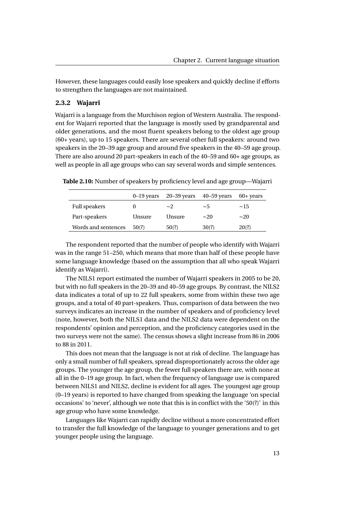However, these languages could easily lose speakers and quickly decline if efforts to strengthen the languages are not maintained.

#### **2.3.2 Wajarri**

Wajarri is a language from the Murchison region of Western Australia. The respondent for Wajarri reported that the language is mostly used by grandparental and older generations, and the most fluent speakers belong to the oldest age group (60+ years), up to 15 speakers. There are several other full speakers: around two speakers in the 20–39 age group and around five speakers in the 40–59 age group. There are also around 20 part-speakers in each of the 40–59 and 60+ age groups, as well as people in all age groups who can say several words and simple sentences.

**Table 2.10:** Number of speakers by proficiency level and age group—Wajarri

<span id="page-28-0"></span>

|                     | $0-19$ years | 20–39 years | $40 - 59$ years | $60+$ years |
|---------------------|--------------|-------------|-----------------|-------------|
| Full speakers       |              | $\sim$ 2    | ~5              | $\sim$ 1.5  |
| Part-speakers       | Unsure       | Unsure      | $\sim$ 20       | $\sim$ 20   |
| Words and sentences | 50(?)        | 50(?)       | 30(?)           | 20(?)       |

The respondent reported that the number of people who identify with Wajarri was in the range 51–250, which means that more than half of these people have some language knowledge (based on the assumption that all who speak Wajarri identify as Wajarri).

The NILS1 report estimated the number of Wajarri speakers in 2005 to be 20, but with no full speakers in the 20–39 and 40–59 age groups. By contrast, the NILS2 data indicates a total of up to 22 full speakers, some from within these two age groups, and a total of 40 part-speakers. Thus, comparison of data between the two surveys indicates an increase in the number of speakers and of proficiency level (note, however, both the NILS1 data and the NILS2 data were dependent on the respondents' opinion and perception, and the proficiency categories used in the two surveys were not the same). The census shows a slight increase from 86 in 2006 to 88 in 2011.

This does not mean that the language is not at risk of decline. The language has only a small number of full speakers, spread disproportionately across the older age groups. The younger the age group, the fewer full speakers there are, with none at all in the 0–19 age group. In fact, when the frequency of language use is compared between NILS1 and NILS2, decline is evident for all ages. The youngest age group (0–19 years) is reported to have changed from speaking the language 'on special occasions' to 'never', although we note that this is in conflict with the '50(?)' in this age group who have some knowledge.

Languages like Wajarri can rapidly decline without a more concentrated effort to transfer the full knowledge of the language to younger generations and to get younger people using the language.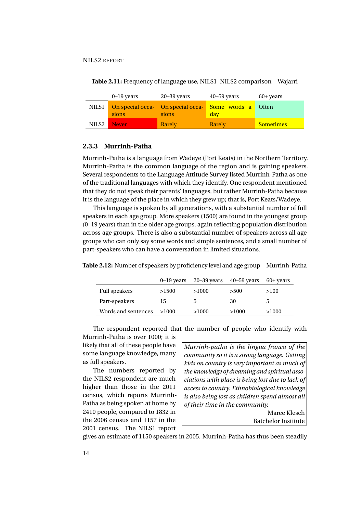|                   | $0-19$ years | $20 - 39$ years                            | $40 - 59$ years                    | $60+$ years      |
|-------------------|--------------|--------------------------------------------|------------------------------------|------------------|
| NILS1             | sions        | On special occa- On special occa-<br>sions | <mark>  Some words a</mark><br>day | Often            |
| NILS <sub>2</sub> | Never        | Rarely                                     | Rarely                             | <b>Sometimes</b> |

<span id="page-29-0"></span>**Table 2.11:** Frequency of language use, NILS1–NILS2 comparison—Wajarri

#### **2.3.3 Murrinh-Patha**

Murrinh-Patha is a language from Wadeye (Port Keats) in the Northern Territory. Murrinh-Patha is the common language of the region and is gaining speakers. Several respondents to the Language Attitude Survey listed Murrinh-Patha as one of the traditional languages with which they identify. One respondent mentioned that they do not speak their parents' languages, but rather Murrinh-Patha because it is the language of the place in which they grew up; that is, Port Keats/Wadeye.

This language is spoken by all generations, with a substantial number of full speakers in each age group. More speakers (1500) are found in the youngest group (0–19 years) than in the older age groups, again reflecting population distribution across age groups. There is also a substantial number of speakers across all age groups who can only say some words and simple sentences, and a small number of part-speakers who can have a conversation in limited situations.

<span id="page-29-1"></span>

|                     | $0-19$ years | $20 - 39$ years | 40–59 years | $60+$ years |
|---------------------|--------------|-----------------|-------------|-------------|
| Full speakers       | >1500        | >1000           | >500        | >100        |
| Part-speakers       | 15           | h.              | 30          | C.          |
| Words and sentences | >1000        | >1000           | >1000       | >1000       |

**Table 2.12:** Number of speakers by proficiency level and age group—Murrinh-Patha

The respondent reported that the number of people who identify with

Murrinh-Patha is over 1000; it is likely that all of these people have some language knowledge, many as full speakers.

The numbers reported by the NILS2 respondent are much higher than those in the 2011 census, which reports Murrinh-Patha as being spoken at home by 2410 people, compared to 1832 in the 2006 census and 1157 in the 2001 census. The NILS1 report

*Murrinh-patha is the lingua franca of the community so it is a strong language. Getting kids on country is very important as much of the knowledge of dreaming and spiritual associations with place is being lost due to lack of access to country. Ethnobiological knowledge is also being lost as children spend almost all of their time in the community.*

Maree Klesch Batchelor Institute

gives an estimate of 1150 speakers in 2005. Murrinh-Patha has thus been steadily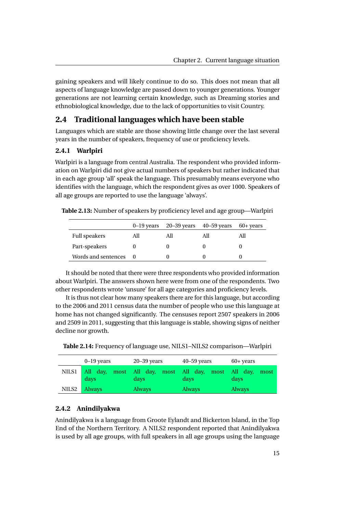gaining speakers and will likely continue to do so. This does not mean that all aspects of language knowledge are passed down to younger generations. Younger generations are not learning certain knowledge, such as Dreaming stories and ethnobiological knowledge, due to the lack of opportunities to visit Country.

#### <span id="page-30-0"></span>**2.4 Traditional languages which have been stable**

Languages which are stable are those showing little change over the last several years in the number of speakers, frequency of use or proficiency levels.

#### **2.4.1 Warlpiri**

Warlpiri is a language from central Australia. The respondent who provided information on Warlpiri did not give actual numbers of speakers but rather indicated that in each age group 'all' speak the language. This presumably means everyone who identifies with the language, which the respondent gives as over 1000. Speakers of all age groups are reported to use the language 'always'.

**Table 2.13:** Number of speakers by proficiency level and age group—Warlpiri

<span id="page-30-1"></span>

|                     |     | $0-19$ years $20-39$ years $40-59$ years | 60+ years |
|---------------------|-----|------------------------------------------|-----------|
| Full speakers       | All | All                                      |           |
| Part-speakers       |     |                                          |           |
| Words and sentences |     |                                          |           |

It should be noted that there were three respondents who provided information about Warlpiri. The answers shown here were from one of the respondents. Two other respondents wrote 'unsure' for all age categories and proficiency levels.

It is thus not clear how many speakers there are for this language, but according to the 2006 and 2011 census data the number of people who use this language at home has not changed significantly. The censuses report 2507 speakers in 2006 and 2509 in 2011, suggesting that this language is stable, showing signs of neither decline nor growth.

<span id="page-30-2"></span>**Table 2.14:** Frequency of language use, NILS1–NILS2 comparison—Warlpiri

|       | $0-19$ years  | $20 - 39$ years                                            | $40 - 59$ years | $60+$ years   |
|-------|---------------|------------------------------------------------------------|-----------------|---------------|
| NILS1 | days          | All day, most All day, most All day, most All day,<br>days | days            | most<br>days  |
| NILS2 | <b>Always</b> | <b>Always</b>                                              | <b>Always</b>   | <b>Always</b> |

#### **2.4.2 Anindilyakwa**

Anindilyakwa is a language from Groote Eylandt and Bickerton Island, in the Top End of the Northern Territory. A NILS2 respondent reported that Anindilyakwa is used by all age groups, with full speakers in all age groups using the language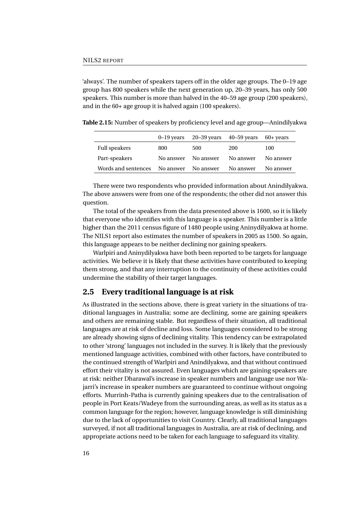'always'. The number of speakers tapers off in the older age groups. The 0–19 age group has 800 speakers while the next generation up, 20–39 years, has only 500 speakers. This number is more than halved in the 40–59 age group (200 speakers), and in the 60+ age group it is halved again (100 speakers).

**Table 2.15:** Number of speakers by proficiency level and age group—Anindilyakwa

<span id="page-31-1"></span>

|                     |           | $0-19$ years $20-39$ years $40-59$ years |           | $60+$ years |
|---------------------|-----------|------------------------------------------|-----------|-------------|
| Full speakers       | 800       | 500                                      | 200       | 100         |
| Part-speakers       | No answer | No answer                                | No answer | No answer   |
| Words and sentences | No answer | No answer                                | No answer | No answer   |

There were two respondents who provided information about Anindilyakwa. The above answers were from one of the respondents; the other did not answer this question.

The total of the speakers from the data presented above is 1600, so it is likely that everyone who identifies with this language is a speaker. This number is a little higher than the 2011 census figure of 1480 people using Aninydilyakwa at home. The NILS1 report also estimates the number of speakers in 2005 as 1500. So again, this language appears to be neither declining nor gaining speakers.

Warlpiri and Aninydilyakwa have both been reported to be targets for language activities. We believe it is likely that these activities have contributed to keeping them strong, and that any interruption to the continuity of these activities could undermine the stability of their target languages.

#### <span id="page-31-0"></span>**2.5 Every traditional language is at risk**

As illustrated in the sections above, there is great variety in the situations of traditional languages in Australia; some are declining, some are gaining speakers and others are remaining stable. But regardless of their situation, all traditional languages are at risk of decline and loss. Some languages considered to be strong are already showing signs of declining vitality. This tendency can be extrapolated to other 'strong' languages not included in the survey. It is likely that the previously mentioned language activities, combined with other factors, have contributed to the continued strength of Warlpiri and Anindilyakwa, and that without continued effort their vitality is not assured. Even languages which are gaining speakers are at risk: neither Dharawal's increase in speaker numbers and language use nor Wajarri's increase in speaker numbers are guaranteed to continue without ongoing efforts. Murrinh-Patha is currently gaining speakers due to the centralisation of people in Port Keats/Wadeye from the surrounding areas, as well as its status as a common language for the region; however, language knowledge is still diminishing due to the lack of opportunities to visit Country. Clearly, all traditional languages surveyed, if not all traditional languages in Australia, are at risk of declining, and appropriate actions need to be taken for each language to safeguard its vitality.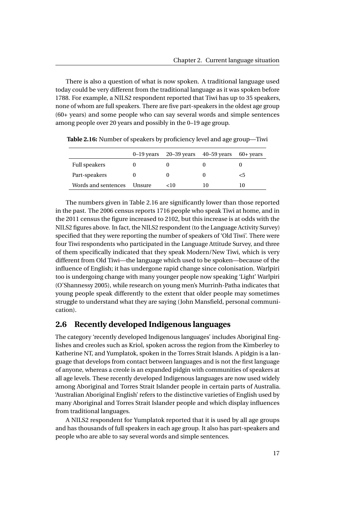There is also a question of what is now spoken. A traditional language used today could be very different from the traditional language as it was spoken before 1788. For example, a NILS2 respondent reported that Tiwi has up to 35 speakers, none of whom are full speakers. There are five part-speakers in the oldest age group (60+ years) and some people who can say several words and simple sentences among people over 20 years and possibly in the 0–19 age group.

|                      |               | 0–19 years $20-39$ years $40-59$ years |    | $60+$ years |
|----------------------|---------------|----------------------------------------|----|-------------|
| <b>Full speakers</b> |               |                                        |    |             |
| Part-speakers        |               |                                        |    | <5          |
| Words and sentences  | <b>Unsure</b> | <10                                    | 10 | 10          |

<span id="page-32-1"></span>**Table 2.16:** Number of speakers by proficiency level and age group—Tiwi

The numbers given in Table [2.16](#page-32-1) are significantly lower than those reported in the past. The 2006 census reports 1716 people who speak Tiwi at home, and in the 2011 census the figure increased to 2102, but this increase is at odds with the NILS2 figures above. In fact, the NILS2 respondent (to the Language Activity Survey) specified that they were reporting the number of speakers of 'Old Tiwi'. There were four Tiwi respondents who participated in the Language Attitude Survey, and three of them specifically indicated that they speak Modern/New Tiwi, which is very different from Old Tiwi—the language which used to be spoken—because of the influence of English; it has undergone rapid change since colonisation. Warlpiri too is undergoing change with many younger people now speaking 'Light' Warlpiri (O'Shannessy [2005\)](#page-77-3), while research on young men's Murrinh-Patha indicates that young people speak differently to the extent that older people may sometimes struggle to understand what they are saying (John Mansfield, personal communication).

#### <span id="page-32-0"></span>**2.6 Recently developed Indigenous languages**

The category 'recently developed Indigenous languages' includes Aboriginal Englishes and creoles such as Kriol, spoken across the region from the Kimberley to Katherine NT, and Yumplatok, spoken in the Torres Strait Islands. A pidgin is a language that develops from contact between languages and is not the first language of anyone, whereas a creole is an expanded pidgin with communities of speakers at all age levels. These recently developed Indigenous languages are now used widely among Aboriginal and Torres Strait Islander people in certain parts of Australia. 'Australian Aboriginal English' refers to the distinctive varieties of English used by many Aboriginal and Torres Strait Islander people and which display influences from traditional languages.

A NILS2 respondent for Yumplatok reported that it is used by all age groups and has thousands of full speakers in each age group. It also has part-speakers and people who are able to say several words and simple sentences.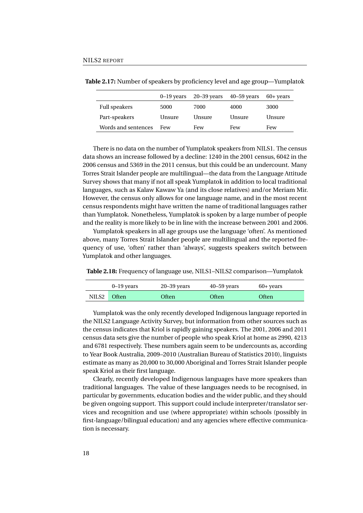<span id="page-33-0"></span>

|                      | $0-19$ vears | $20 - 39$ years | $40 - 59$ years | $60+$ years |
|----------------------|--------------|-----------------|-----------------|-------------|
| <b>Full speakers</b> | 5000         | 7000            | 4000            | 3000        |
| Part-speakers        | Unsure       | Unsure          | Unsure          | Unsure      |
| Words and sentences  | Few          | Few             | Few             | Few         |

**Table 2.17:** Number of speakers by proficiency level and age group—Yumplatok

There is no data on the number of Yumplatok speakers from NILS1. The census data shows an increase followed by a decline: 1240 in the 2001 census, 6042 in the 2006 census and 5369 in the 2011 census, but this could be an undercount. Many Torres Strait Islander people are multilingual—the data from the Language Attitude Survey shows that many if not all speak Yumplatok in addition to local traditional languages, such as Kalaw Kawaw Ya (and its close relatives) and/or Meriam Mir. However, the census only allows for one language name, and in the most recent census respondents might have written the name of traditional languages rather than Yumplatok. Nonetheless, Yumplatok is spoken by a large number of people and the reality is more likely to be in line with the increase between 2001 and 2006.

Yumplatok speakers in all age groups use the language 'often'. As mentioned above, many Torres Strait Islander people are multilingual and the reported frequency of use, 'often' rather than 'always', suggests speakers switch between Yumplatok and other languages.

<span id="page-33-1"></span>**Table 2.18:** Frequency of language use, NILS1–NILS2 comparison—Yumplatok

|       | $0-19$ years | $20 - 39$ years | $40 - 59$ years | $60+$ years |
|-------|--------------|-----------------|-----------------|-------------|
| NILS2 | Often        | Often           | Often           | Often       |

Yumplatok was the only recently developed Indigenous language reported in the NILS2 Language Activity Survey, but information from other sources such as the census indicates that Kriol is rapidly gaining speakers. The 2001, 2006 and 2011 census data sets give the number of people who speak Kriol at home as 2990, 4213 and 6781 respectively. These numbers again seem to be undercounts as, according to Year Book Australia, 2009–2010 (Australian Bureau of Statistics [2010\)](#page-75-7), linguists estimate as many as 20,000 to 30,000 Aboriginal and Torres Strait Islander people speak Kriol as their first language.

Clearly, recently developed Indigenous languages have more speakers than traditional languages. The value of these languages needs to be recognised, in particular by governments, education bodies and the wider public, and they should be given ongoing support. This support could include interpreter/translator services and recognition and use (where appropriate) within schools (possibly in first-language/bilingual education) and any agencies where effective communication is necessary.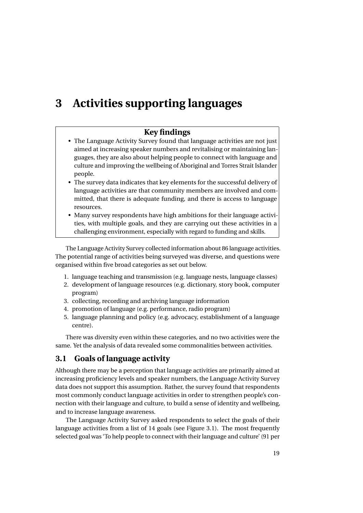# <span id="page-34-0"></span>**3 Activities supporting languages**

#### **Key findings**

- The Language Activity Survey found that language activities are not just aimed at increasing speaker numbers and revitalising or maintaining languages, they are also about helping people to connect with language and culture and improving the wellbeing of Aboriginal and Torres Strait Islander people.
- The survey data indicates that key elements for the successful delivery of language activities are that community members are involved and committed, that there is adequate funding, and there is access to language resources.
- Many survey respondents have high ambitions for their language activities, with multiple goals, and they are carrying out these activities in a challenging environment, especially with regard to funding and skills.

The Language Activity Survey collected information about 86 language activities. The potential range of activities being surveyed was diverse, and questions were organised within five broad categories as set out below.

- 1. language teaching and transmission (e.g. language nests, language classes)
- 2. development of language resources (e.g. dictionary, story book, computer program)
- 3. collecting, recording and archiving language information
- 4. promotion of language (e.g. performance, radio program)
- 5. language planning and policy (e.g. advocacy, establishment of a language centre).

There was diversity even within these categories, and no two activities were the same. Yet the analysis of data revealed some commonalities between activities.

#### <span id="page-34-1"></span>**3.1 Goals of language activity**

Although there may be a perception that language activities are primarily aimed at increasing proficiency levels and speaker numbers, the Language Activity Survey data does not support this assumption. Rather, the survey found that respondents most commonly conduct language activities in order to strengthen people's connection with their language and culture, to build a sense of identity and wellbeing, and to increase language awareness.

The Language Activity Survey asked respondents to select the goals of their language activities from a list of 14 goals (see Figure [3.1\)](#page-36-0). The most frequently selected goal was 'To help people to connect with their language and culture' (91 per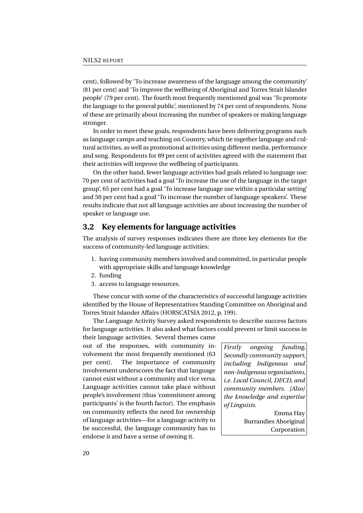cent), followed by 'To increase awareness of the language among the community' (81 per cent) and 'To improve the wellbeing of Aboriginal and Torres Strait Islander people' (79 per cent). The fourth most frequently mentioned goal was 'To promote the language to the general public', mentioned by 74 per cent of respondents. None of these are primarily about increasing the number of speakers or making language stronger.

In order to meet these goals, respondents have been delivering programs such as language camps and teaching on Country, which tie together language and cultural activities, as well as promotional activities using different media, performance and song. Respondents for 89 per cent of activities agreed with the statement that their activities will improve the wellbeing of participants.

On the other hand, fewer language activities had goals related to language use: 70 per cent of activities had a goal 'To increase the use of the language in the target group', 65 per cent had a goal 'To increase language use within a particular setting' and 50 per cent had a goal 'To increase the number of language speakers'. These results indicate that not all language activities are about increasing the number of speaker or language use.

#### <span id="page-35-0"></span>**3.2 Key elements for language activities**

The analysis of survey responses indicates there are three key elements for the success of community-led language activities:

- 1. having community members involved and committed, in particular people with appropriate skills and language knowledge
- 2. funding
- 3. access to language resources.

These concur with some of the characteristics of successful language activities identified by the House of Representatives Standing Committee on Aboriginal and Torres Strait Islander Affairs [\(HORSCATSIA 2012,](#page-76-1) p. 199).

The Language Activity Survey asked respondents to describe success factors for language activities. It also asked what factors could prevent or limit success in their language activities. Several themes came

out of the responses, with community involvement the most frequently mentioned (63 per cent). The importance of community involvement underscores the fact that language cannot exist without a community and vice versa. Language activities cannot take place without people's involvement (thus 'commitment among participants' is the fourth factor). The emphasis on community reflects the need for ownership of language activities—for a language activity to be successful, the language community has to endorse it and have a sense of owning it.

*Firstly ongoing funding, Secondly community support, including Indigenous and non-Indigenous organisations, i.e. Local Council, DECD, and community members. [Also] the knowledge and expertise of Linguists.*

> Emma Hay Burrandies Aboriginal Corporation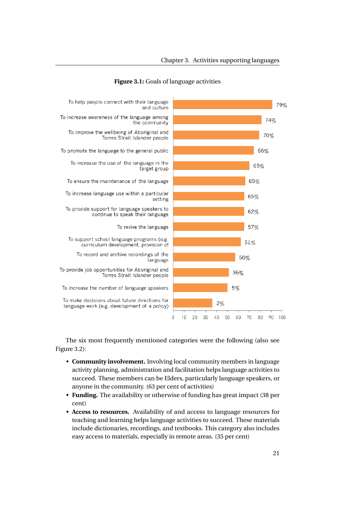

#### **Figure 3.1:** Goals of language activities

The six most frequently mentioned categories were the following (also see Figure [3.2\)](#page-37-0):

- **Community involvement.** Involving local community members in language activity planning, administration and facilitation helps language activities to succeed. These members can be Elders, particularly language speakers, or anyone in the community. (63 per cent of activities)
- **Funding.** The availability or otherwise of funding has great impact (38 per cent)
- **Access to resources.** Availability of and access to language resources for teaching and learning helps language activities to succeed. These materials include dictionaries, recordings, and textbooks. This category also includes easy access to materials, especially in remote areas. (35 per cent)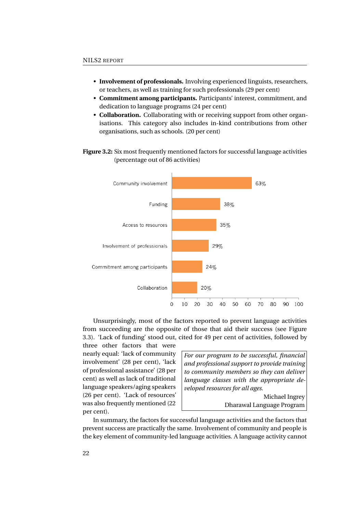- **Involvement of professionals.** Involving experienced linguists, researchers, or teachers, as well as training for such professionals (29 per cent)
- **Commitment among participants.** Participants' interest, commitment, and dedication to language programs (24 per cent)
- **Collaboration.** Collaborating with or receiving support from other organisations. This category also includes in-kind contributions from other organisations, such as schools. (20 per cent)
- <span id="page-37-0"></span>**Figure 3.2:** Six most frequently mentioned factors for successful language activities (percentage out of 86 activities)



Unsurprisingly, most of the factors reported to prevent language activities from succeeding are the opposite of those that aid their success (see Figure [3.3\)](#page-38-0). 'Lack of funding' stood out, cited for 49 per cent of activities, followed by

three other factors that were nearly equal: 'lack of community involvement' (28 per cent), 'lack of professional assistance' (28 per cent) as well as lack of traditional language speakers/aging speakers (26 per cent). 'Lack of resources' was also frequently mentioned (22 per cent).

*For our program to be successful, financial and professional support to provide training to community members so they can deliver language classes with the appropriate developed resources for all ages.*

> Michael Ingrey Dharawal Language Program

In summary, the factors for successful language activities and the factors that prevent success are practically the same. Involvement of community and people is the key element of community-led language activities. A language activity cannot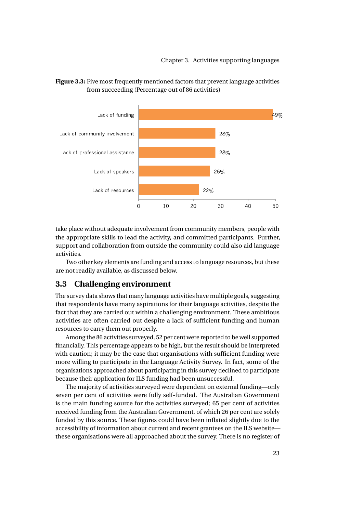

<span id="page-38-0"></span>

take place without adequate involvement from community members, people with the appropriate skills to lead the activity, and committed participants. Further, support and collaboration from outside the community could also aid language activities.

Two other key elements are funding and access to language resources, but these are not readily available, as discussed below.

## **3.3 Challenging environment**

The survey data shows that many language activities have multiple goals, suggesting that respondents have many aspirations for their language activities, despite the fact that they are carried out within a challenging environment. These ambitious activities are often carried out despite a lack of sufficient funding and human resources to carry them out properly.

Among the 86 activities surveyed, 52 per cent were reported to be well supported financially. This percentage appears to be high, but the result should be interpreted with caution; it may be the case that organisations with sufficient funding were more willing to participate in the Language Activity Survey. In fact, some of the organisations approached about participating in this survey declined to participate because their application for ILS funding had been unsuccessful.

The majority of activities surveyed were dependent on external funding—only seven per cent of activities were fully self-funded. The Australian Government is the main funding source for the activities surveyed; 65 per cent of activities received funding from the Australian Government, of which 26 per cent are solely funded by this source. These figures could have been inflated slightly due to the accessibility of information about current and recent grantees on the ILS website these organisations were all approached about the survey. There is no register of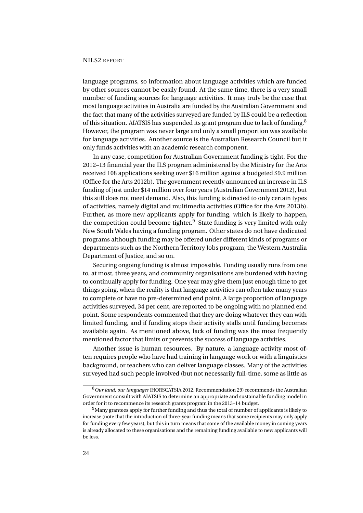language programs, so information about language activities which are funded by other sources cannot be easily found. At the same time, there is a very small number of funding sources for language activities. It may truly be the case that most language activities in Australia are funded by the Australian Government and the fact that many of the activities surveyed are funded by ILS could be a reflection of this situation. AIATSIS has suspended its grant program due to lack of funding.<sup>[8](#page-39-0)</sup> However, the program was never large and only a small proportion was available for language activities. Another source is the Australian Research Council but it only funds activities with an academic research component.

In any case, competition for Australian Government funding is tight. For the 2012–13 financial year the ILS program administered by the Ministry for the Arts received 108 applications seeking over \$16 million against a budgeted \$9.9 million (Office for the Arts [2012b\)](#page-77-0). The government recently announced an increase in ILS funding of just under \$14 million over four years (Australian Government [2012\)](#page-75-0), but this still does not meet demand. Also, this funding is directed to only certain types of activities, namely digital and multimedia activities (Office for the Arts [2013b\)](#page-77-1). Further, as more new applicants apply for funding, which is likely to happen, the competition could become tighter. $9$  State funding is very limited with only New South Wales having a funding program. Other states do not have dedicated programs although funding may be offered under different kinds of programs or departments such as the Northern Territory Jobs program, the Western Australia Department of Justice, and so on.

Securing ongoing funding is almost impossible. Funding usually runs from one to, at most, three years, and community organisations are burdened with having to continually apply for funding. One year may give them just enough time to get things going, when the reality is that language activities can often take many years to complete or have no pre-determined end point. A large proportion of language activities surveyed, 34 per cent, are reported to be ongoing with no planned end point. Some respondents commented that they are doing whatever they can with limited funding, and if funding stops their activity stalls until funding becomes available again. As mentioned above, lack of funding was the most frequently mentioned factor that limits or prevents the success of language activities.

Another issue is human resources. By nature, a language activity most often requires people who have had training in language work or with a linguistics background, or teachers who can deliver language classes. Many of the activities surveyed had such people involved (but not necessarily full-time, some as little as

<span id="page-39-0"></span><sup>8</sup>*Our land, our languages* [\(HORSCATSIA 2012,](#page-76-0) Recommendation 29) recommends the Australian Government consult with AIATSIS to determine an appropriate and sustainable funding model in order for it to recommence its research grants program in the 2013–14 budget.

<span id="page-39-1"></span><sup>&</sup>lt;sup>9</sup>Many grantees apply for further funding and thus the total of number of applicants is likely to increase (note that the introduction of three-year funding means that some recipients may only apply for funding every few years), but this in turn means that some of the available money in coming years is already allocated to these organisations and the remaining funding available to new applicants will be less.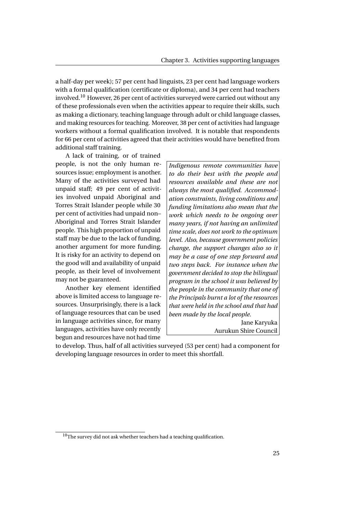a half-day per week); 57 per cent had linguists, 23 per cent had language workers with a formal qualification (certificate or diploma), and 34 per cent had teachers involved.[10](#page-40-0) However, 26 per cent of activities surveyed were carried out without any of these professionals even when the activities appear to require their skills, such as making a dictionary, teaching language through adult or child language classes, and making resources for teaching. Moreover, 38 per cent of activities had language workers without a formal qualification involved. It is notable that respondents for 66 per cent of activities agreed that their activities would have benefited from additional staff training.

A lack of training, or of trained people, is not the only human resources issue; employment is another. Many of the activities surveyed had unpaid staff; 49 per cent of activities involved unpaid Aboriginal and Torres Strait Islander people while 30 per cent of activities had unpaid non– Aboriginal and Torres Strait Islander people. This high proportion of unpaid staff may be due to the lack of funding, another argument for more funding. It is risky for an activity to depend on the good will and availability of unpaid people, as their level of involvement may not be guaranteed.

Another key element identified above is limited access to language resources. Unsurprisingly, there is a lack of language resources that can be used in language activities since, for many languages, activities have only recently begun and resources have not had time

*Indigenous remote communities have to do their best with the people and resources available and these are not always the most qualified. Accommodation constraints, living conditions and funding limitations also mean that the work which needs to be ongoing over many years, if not having an unlimited time scale, does not work to the optimum level. Also, because government policies change, the support changes also so it may be a case of one step forward and two steps back. For instance when the government decided to stop the bilingual program in the school it was believed by the people in the community that one of the Principals burnt a lot of the resources that were held in the school and that had been made by the local people.* Jane Karyuka

Aurukun Shire Council

to develop. Thus, half of all activities surveyed (53 per cent) had a component for developing language resources in order to meet this shortfall.

<span id="page-40-0"></span> $10$ The survey did not ask whether teachers had a teaching qualification.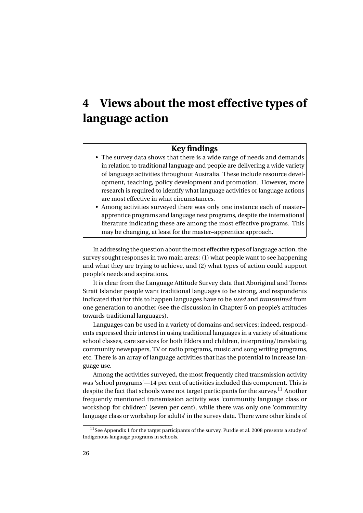# **4 Views about the most effective types of language action**

## **Key findings**

- The survey data shows that there is a wide range of needs and demands in relation to traditional language and people are delivering a wide variety of language activities throughout Australia. These include resource development, teaching, policy development and promotion. However, more research is required to identify what language activities or language actions are most effective in what circumstances.
- Among activities surveyed there was only one instance each of master– apprentice programs and language nest programs, despite the international literature indicating these are among the most effective programs. This may be changing, at least for the master–apprentice approach.

In addressing the question about the most effective types of language action, the survey sought responses in two main areas: (1) what people want to see happening and what they are trying to achieve, and (2) what types of action could support people's needs and aspirations.

It is clear from the Language Attitude Survey data that Aboriginal and Torres Strait Islander people want traditional languages to be strong, and respondents indicated that for this to happen languages have to be *used* and *transmitted* from one generation to another (see the discussion in Chapter [5](#page-43-0) on people's attitudes towards traditional languages).

Languages can be used in a variety of domains and services; indeed, respondents expressed their interest in using traditional languages in a variety of situations: school classes, care services for both Elders and children, interpreting/translating, community newspapers, TV or radio programs, music and song writing programs, etc. There is an array of language activities that has the potential to increase language use.

Among the activities surveyed, the most frequently cited transmission activity was 'school programs'—14 per cent of activities included this component. This is despite the fact that schools were not target participants for the survey.<sup>[11](#page-41-0)</sup> Another frequently mentioned transmission activity was 'community language class or workshop for children' (seven per cent), while there was only one 'community language class or workshop for adults' in the survey data. There were other kinds of

<span id="page-41-0"></span> $11$ See Appendix 1 for the target participants of the survey. Purdie et al. [2008](#page-78-0) presents a study of Indigenous language programs in schools.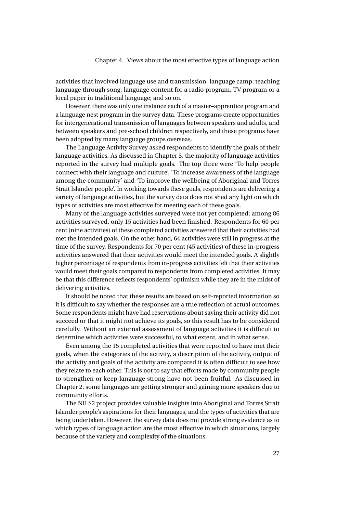activities that involved language use and transmission: language camp; teaching language through song; language content for a radio program, TV program or a local paper in traditional language; and so on.

However, there was only one instance each of a master–apprentice program and a language nest program in the survey data. These programs create opportunities for intergenerational transmission of languages between speakers and adults, and between speakers and pre-school children respectively, and these programs have been adopted by many language groups overseas.

The Language Activity Survey asked respondents to identify the goals of their language activities. As discussed in Chapter [3,](#page-34-0) the majority of language activities reported in the survey had multiple goals. The top three were 'To help people connect with their language and culture', 'To increase awareness of the language among the community' and 'To improve the wellbeing of Aboriginal and Torres Strait Islander people'. In working towards these goals, respondents are delivering a variety of language activities, but the survey data does not shed any light on which types of activities are most effective for meeting each of these goals.

Many of the language activities surveyed were not yet completed; among 86 activities surveyed, only 15 activities had been finished. Respondents for 60 per cent (nine activities) of these completed activities answered that their activities had met the intended goals. On the other hand, 64 activities were still in progress at the time of the survey. Respondents for 70 per cent (45 activities) of these in-progress activities answered that their activities would meet the intended goals. A slightly higher percentage of respondents from in-progress activities felt that their activities would meet their goals compared to respondents from completed activities. It may be that this difference reflects respondents' optimism while they are in the midst of delivering activities.

It should be noted that these results are based on self-reported information so it is difficult to say whether the responses are a true reflection of actual outcomes. Some respondents might have had reservations about saying their activity did not succeed or that it might not achieve its goals, so this result has to be considered carefully. Without an external assessment of language activities it is difficult to determine which activities were successful, to what extent, and in what sense.

Even among the 15 completed activities that were reported to have met their goals, when the categories of the activity, a description of the activity, output of the activity and goals of the activity are compared it is often difficult to see how they relate to each other. This is not to say that efforts made by community people to strengthen or keep language strong have not been fruitful. As discussed in Chapter [2,](#page-20-0) some languages are getting stronger and gaining more speakers due to community efforts.

The NILS2 project provides valuable insights into Aboriginal and Torres Strait Islander people's aspirations for their languages, and the types of activities that are being undertaken. However, the survey data does not provide strong evidence as to which types of language action are the most effective in which situations, largely because of the variety and complexity of the situations.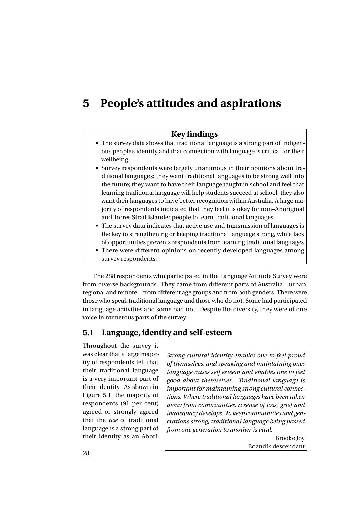# <span id="page-43-0"></span>**5 People's attitudes and aspirations**

## **Key findings**

- The survey data shows that traditional language is a strong part of Indigenous people's identity and that connection with language is critical for their wellbeing.
- Survey respondents were largely unanimous in their opinions about traditional languages: they want traditional languages to be strong well into the future; they want to have their language taught in school and feel that learning traditional language will help students succeed at school; they also want their languages to have better recognition within Australia. A large majority of respondents indicated that they feel it is okay for non–Aboriginal and Torres Strait Islander people to learn traditional languages.
- The survey data indicates that active use and transmission of languages is the key to strengthening or keeping traditional language strong, while lack of opportunities prevents respondents from learning traditional languages.
- There were different opinions on recently developed languages among survey respondents.

The 288 respondents who participated in the Language Attitude Survey were from diverse backgrounds. They came from different parts of Australia—urban, regional and remote—from different age groups and from both genders. There were those who speak traditional language and those who do not. Some had participated in language activities and some had not. Despite the diversity, they were of one voice in numerous parts of the survey.

## **5.1 Language, identity and self-esteem**

Throughout the survey it was clear that a large majority of respondents felt that their traditional language is a very important part of their identity. As shown in Figure [5.1,](#page-44-0) the majority of respondents (91 per cent) agreed or strongly agreed that the *use* of traditional language is a strong part of their identity as an Abori-

*Strong cultural identity enables one to feel proud of themselves, and speaking and maintaining ones language raises self esteem and enables one to feel good about themselves. Traditional language is important for maintaining strong cultural connections. Where traditional languages have been taken away from communities, a sense of loss, grief and inadequacy develops. To keep communities and generations strong, traditional language being passed from one generation to another is vital.*

> Brooke Joy Boandik descendant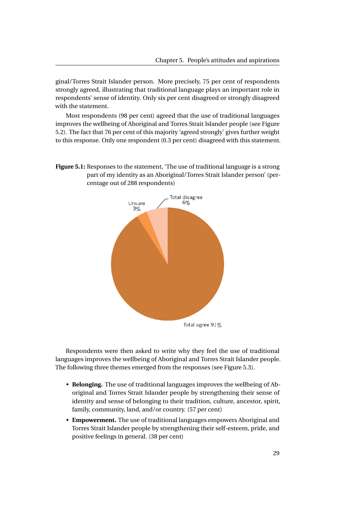ginal/Torres Strait Islander person. More precisely, 75 per cent of respondents strongly agreed, illustrating that traditional language plays an important role in respondents' sense of identity. Only six per cent disagreed or strongly disagreed with the statement.

Most respondents (98 per cent) agreed that the use of traditional languages improves the wellbeing of Aboriginal and Torres Strait Islander people (see Figure [5.2\)](#page-45-0). The fact that 76 per cent of this majority 'agreed strongly' gives further weight to this response. Only one respondent (0.3 per cent) disagreed with this statement.

<span id="page-44-0"></span>**Figure 5.1:** Responses to the statement, 'The use of traditional language is a strong part of my identity as an Aboriginal/Torres Strait Islander person' (percentage out of 288 respondents)



Respondents were then asked to write why they feel the use of traditional languages improves the wellbeing of Aboriginal and Torres Strait Islander people. The following three themes emerged from the responses (see Figure [5.3\)](#page-45-1).

- **Belonging.** The use of traditional languages improves the wellbeing of Aboriginal and Torres Strait Islander people by strengthening their sense of identity and sense of belonging to their tradition, culture, ancestor, spirit, family, community, land, and/or country. (57 per cent)
- **Empowerment.** The use of traditional languages empowers Aboriginal and Torres Strait Islander people by strengthening their self-esteem, pride, and positive feelings in general. (38 per cent)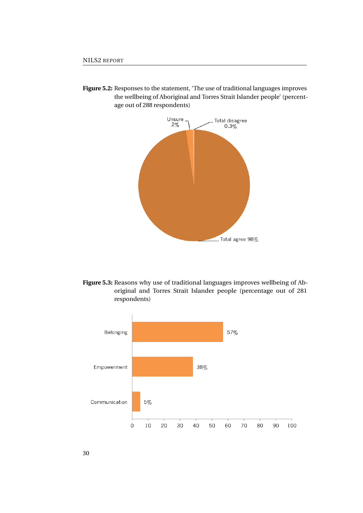**Figure 5.2:** Responses to the statement, 'The use of traditional languages improves the wellbeing of Aboriginal and Torres Strait Islander people' (percentage out of 288 respondents)

<span id="page-45-0"></span>

<span id="page-45-1"></span>



30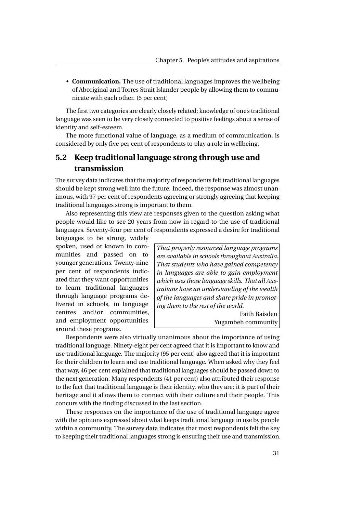• **Communication.** The use of traditional languages improves the wellbeing of Aboriginal and Torres Strait Islander people by allowing them to communicate with each other. (5 per cent)

The first two categories are clearly closely related; knowledge of one's traditional language was seen to be very closely connected to positive feelings about a sense of identity and self-esteem.

The more functional value of language, as a medium of communication, is considered by only five per cent of respondents to play a role in wellbeing.

# **5.2 Keep traditional language strong through use and transmission**

The survey data indicates that the majority of respondents felt traditional languages should be kept strong well into the future. Indeed, the response was almost unanimous, with 97 per cent of respondents agreeing or strongly agreeing that keeping traditional languages strong is important to them.

Also representing this view are responses given to the question asking what people would like to see 20 years from now in regard to the use of traditional languages. Seventy-four per cent of respondents expressed a desire for traditional

languages to be strong, widely spoken, used or known in communities and passed on to younger generations. Twenty-nine per cent of respondents indicated that they want opportunities to learn traditional languages through language programs delivered in schools, in language centres and/or communities, and employment opportunities around these programs.

*That properly resourced language programs are available in schools throughout Australia. That students who have gained competency in languages are able to gain employment which uses those language skills. That all Australians have an understanding of the wealth of the languages and share pride in promoting them to the rest of the world.*

Faith Baisden Yugambeh community

Respondents were also virtually unanimous about the importance of using traditional language. Ninety-eight per cent agreed that it is important to know and use traditional language. The majority (95 per cent) also agreed that it is important for their children to learn and use traditional language. When asked why they feel that way, 46 per cent explained that traditional languages should be passed down to the next generation. Many respondents (41 per cent) also attributed their response to the fact that traditional language is their identity, who they are: it is part of their heritage and it allows them to connect with their culture and their people. This concurs with the finding discussed in the last section.

These responses on the importance of the use of traditional language agree with the opinions expressed about what keeps traditional language in use by people within a community. The survey data indicates that most respondents felt the key to keeping their traditional languages strong is ensuring their use and transmission.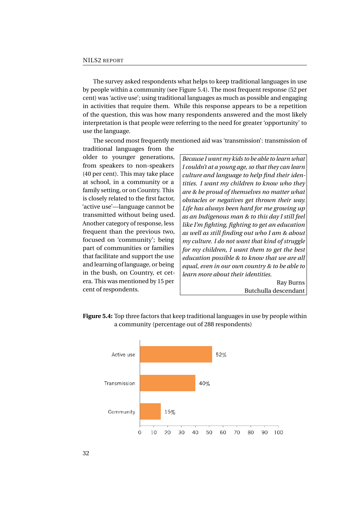The survey asked respondents what helps to keep traditional languages in use by people within a community (see Figure [5.4\)](#page-47-0). The most frequent response (52 per cent) was 'active use'; using traditional languages as much as possible and engaging in activities that require them. While this response appears to be a repetition of the question, this was how many respondents answered and the most likely interpretation is that people were referring to the need for greater 'opportunity' to use the language.

The second most frequently mentioned aid was 'transmission': transmission of

traditional languages from the older to younger generations, from speakers to non-speakers (40 per cent). This may take place at school, in a community or a family setting, or on Country. This is closely related to the first factor, 'active use'—language cannot be transmitted without being used. Another category of response, less frequent than the previous two, focused on 'community'; being part of communities or families that facilitate and support the use and learning of language, or being in the bush, on Country, et cetera. This was mentioned by 15 per cent of respondents.

*Because I want my kids to be able to learn what I couldn't at a young age, so that they can learn culture and language to help find their identities. I want my children to know who they are & be proud of themselves no matter what obstacles or negatives get thrown their way. Life has always been hard for me growing up as an Indigenous man & to this day I still feel like I'm fighting, fighting to get an education as well as still finding out who I am & about my culture. I do not want that kind of struggle for my children, I want them to get the best education possible & to know that we are all equal, even in our own country & to be able to learn more about their identities.*

Ray Burns Butchulla descendant

**Figure 5.4:** Top three factors that keep traditional languages in use by people within a community (percentage out of 288 respondents)

<span id="page-47-0"></span>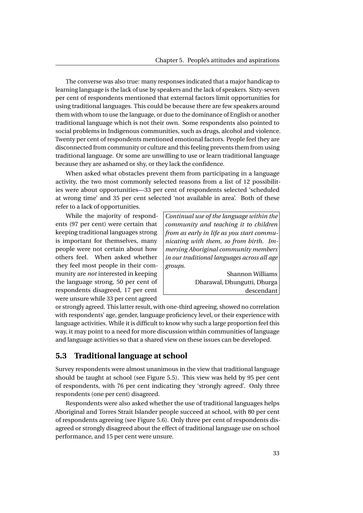The converse was also true: many responses indicated that a major handicap to learning language is the lack of use by speakers and the lack of speakers. Sixty-seven per cent of respondents mentioned that external factors limit opportunities for using traditional languages. This could be because there are few speakers around them with whom to use the language, or due to the dominance of English or another traditional language which is not their own. Some respondents also pointed to social problems in Indigenous communities, such as drugs, alcohol and violence. Twenty per cent of respondents mentioned emotional factors. People feel they are disconnected from community or culture and this feeling prevents them from using traditional language. Or some are unwilling to use or learn traditional language because they are ashamed or shy, or they lack the confidence.

When asked what obstacles prevent them from participating in a language activity, the two most commonly selected reasons from a list of 12 possibilities were about opportunities—33 per cent of respondents selected 'scheduled at wrong time' and 35 per cent selected 'not available in area'. Both of these refer to a lack of opportunities.

While the majority of respondents (97 per cent) were certain that keeping traditional languages strong is important for themselves, many people were not certain about how others feel. When asked whether they feel most people in their community are *not* interested in keeping the language strong, 50 per cent of respondents disagreed, 17 per cent were unsure while 33 per cent agreed

*Continual use of the language within the community and teaching it to children from as early in life as you start communicating with them, so from birth. Immersing Aboriginal community members in our traditional languages across all age groups.*

> Shannon Williams Dharawal, Dhungutti, Dhurga descendant

or strongly agreed. This latter result, with one-third agreeing, showed no correlation with respondents' age, gender, language proficiency level, or their experience with language activities. While it is difficult to know why such a large proportion feel this way, it may point to a need for more discussion within communities of language and language activities so that a shared view on these issues can be developed.

## **5.3 Traditional language at school**

Survey respondents were almost unanimous in the view that traditional language should be taught at school (see Figure [5.5\)](#page-49-0). This view was held by 95 per cent of respondents, with 76 per cent indicating they 'strongly agreed'. Only three respondents (one per cent) disagreed.

Respondents were also asked whether the use of traditional languages helps Aboriginal and Torres Strait Islander people succeed at school, with 80 per cent of respondents agreeing (see Figure [5.6\)](#page-50-0). Only three per cent of respondents disagreed or strongly disagreed about the effect of traditional language use on school performance, and 15 per cent were unsure.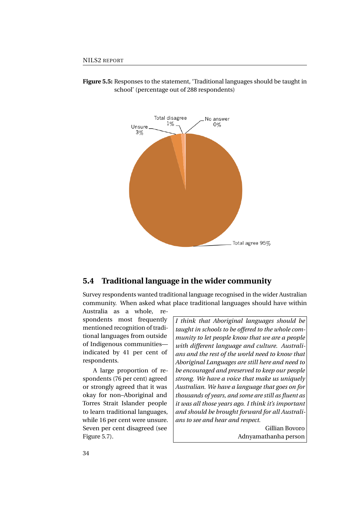<span id="page-49-0"></span>

**Figure 5.5:** Responses to the statement, 'Traditional languages should be taught in school' (percentage out of 288 respondents)

# **5.4 Traditional language in the wider community**

Survey respondents wanted traditional language recognised in the wider Australian community. When asked what place traditional languages should have within

Australia as a whole, respondents most frequently mentioned recognition of traditional languages from outside of Indigenous communities indicated by 41 per cent of respondents.

A large proportion of respondents (76 per cent) agreed or strongly agreed that it was okay for non–Aboriginal and Torres Strait Islander people to learn traditional languages, while 16 per cent were unsure. Seven per cent disagreed (see Figure [5.7\)](#page-50-1).

*I think that Aboriginal languages should be taught in schools to be offered to the whole community to let people know that we are a people with different language and culture. Australians and the rest of the world need to know that Aboriginal Languages are still here and need to be encouraged and preserved to keep our people strong. We have a voice that make us uniquely Australian. We have a language that goes on for thousands of years, and some are still as fluent as it was all those years ago. I think it's important and should be brought forward for all Australians to see and hear and respect.*

> Gillian Bovoro Adnyamathanha person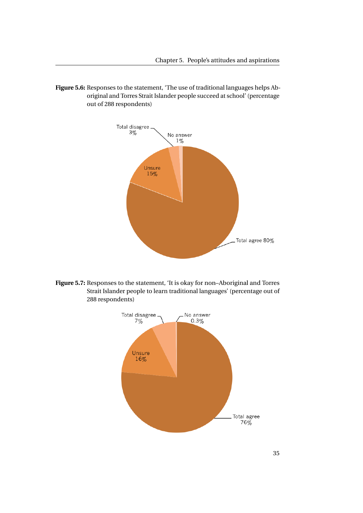<span id="page-50-0"></span>**Figure 5.6:** Responses to the statement, 'The use of traditional languages helps Aboriginal and Torres Strait Islander people succeed at school' (percentage out of 288 respondents)



<span id="page-50-1"></span>**Figure 5.7:** Responses to the statement, 'It is okay for non–Aboriginal and Torres Strait Islander people to learn traditional languages' (percentage out of 288 respondents)

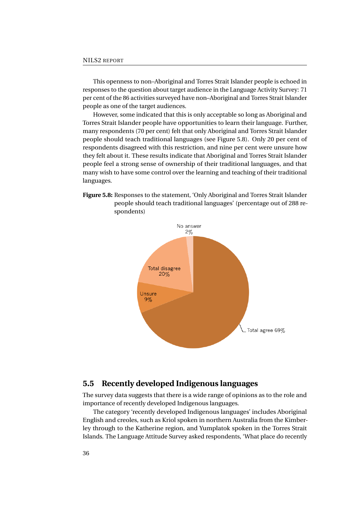This openness to non–Aboriginal and Torres Strait Islander people is echoed in responses to the question about target audience in the Language Activity Survey: 71 per cent of the 86 activities surveyed have non–Aboriginal and Torres Strait Islander people as one of the target audiences.

However, some indicated that this is only acceptable so long as Aboriginal and Torres Strait Islander people have opportunities to learn their language. Further, many respondents (70 per cent) felt that only Aboriginal and Torres Strait Islander people should teach traditional languages (see Figure [5.8\)](#page-51-0). Only 20 per cent of respondents disagreed with this restriction, and nine per cent were unsure how they felt about it. These results indicate that Aboriginal and Torres Strait Islander people feel a strong sense of ownership of their traditional languages, and that many wish to have some control over the learning and teaching of their traditional languages.



<span id="page-51-0"></span>

## **5.5 Recently developed Indigenous languages**

The survey data suggests that there is a wide range of opinions as to the role and importance of recently developed Indigenous languages.

The category 'recently developed Indigenous languages' includes Aboriginal English and creoles, such as Kriol spoken in northern Australia from the Kimberley through to the Katherine region, and Yumplatok spoken in the Torres Strait Islands. The Language Attitude Survey asked respondents, 'What place do recently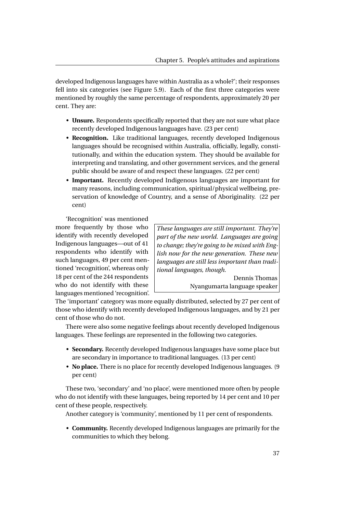developed Indigenous languages have within Australia as a whole?'; their responses fell into six categories (see Figure [5.9\)](#page-53-0). Each of the first three categories were mentioned by roughly the same percentage of respondents, approximately 20 per cent. They are:

- **Unsure.** Respondents specifically reported that they are not sure what place recently developed Indigenous languages have. (23 per cent)
- **Recognition.** Like traditional languages, recently developed Indigenous languages should be recognised within Australia, officially, legally, constitutionally, and within the education system. They should be available for interpreting and translating, and other government services, and the general public should be aware of and respect these languages. (22 per cent)
- **Important.** Recently developed Indigenous languages are important for many reasons, including communication, spiritual/physical wellbeing, preservation of knowledge of Country, and a sense of Aboriginality. (22 per cent)

'Recognition' was mentioned more frequently by those who identify with recently developed Indigenous languages—out of 41 respondents who identify with such languages, 49 per cent mentioned 'recognition', whereas only 18 per cent of the 244 respondents who do not identify with these languages mentioned 'recognition'.

*These languages are still important. They're part of the new world. Languages are going to change; they're going to be mixed with English now for the new generation. These new languages are still less important than traditional languages, though.*

> Dennis Thomas Nyangumarta language speaker

The 'important' category was more equally distributed, selected by 27 per cent of those who identify with recently developed Indigenous languages, and by 21 per cent of those who do not.

There were also some negative feelings about recently developed Indigenous languages. These feelings are represented in the following two categories.

- **Secondary.** Recently developed Indigenous languages have some place but are secondary in importance to traditional languages. (13 per cent)
- **No place.** There is no place for recently developed Indigenous languages. (9 per cent)

These two, 'secondary' and 'no place', were mentioned more often by people who do not identify with these languages, being reported by 14 per cent and 10 per cent of these people, respectively.

Another category is 'community', mentioned by 11 per cent of respondents.

• **Community.** Recently developed Indigenous languages are primarily for the communities to which they belong.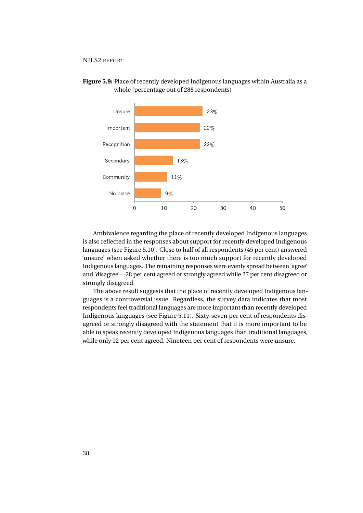

<span id="page-53-0"></span>**Figure 5.9:** Place of recently developed Indigenous languages within Australia as a whole (percentage out of 288 respondents)

Ambivalence regarding the place of recently developed Indigenous languages is also reflected in the responses about support for recently developed Indigenous languages (see Figure [5.10\)](#page-54-0). Close to half of all respondents (45 per cent) answered 'unsure' when asked whether there is too much support for recently developed Indigenous languages. The remaining responses were evenly spread between 'agree' and 'disagree'—28 per cent agreed or strongly agreed while 27 per cent disagreed or strongly disagreed.

The above result suggests that the place of recently developed Indigenous languages is a controversial issue. Regardless, the survey data indicates that most respondents feel traditional languages are more important than recently developed Indigenous languages (see Figure [5.11\)](#page-54-1). Sixty-seven per cent of respondents disagreed or strongly disagreed with the statement that it is more important to be able to speak recently developed Indigenous languages than traditional languages, while only 12 per cent agreed. Nineteen per cent of respondents were unsure.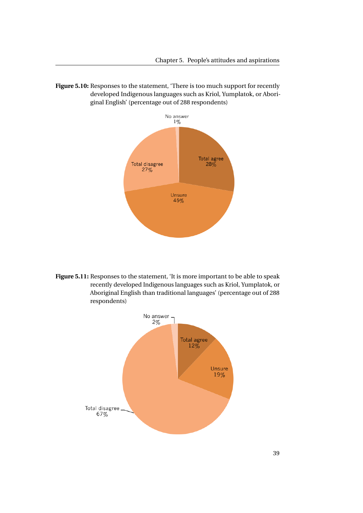<span id="page-54-0"></span>**Figure 5.10:** Responses to the statement, 'There is too much support for recently developed Indigenous languages such as Kriol, Yumplatok, or Aboriginal English' (percentage out of 288 respondents)



<span id="page-54-1"></span>**Figure 5.11:** Responses to the statement, 'It is more important to be able to speak recently developed Indigenous languages such as Kriol, Yumplatok, or Aboriginal English than traditional languages' (percentage out of 288 respondents)

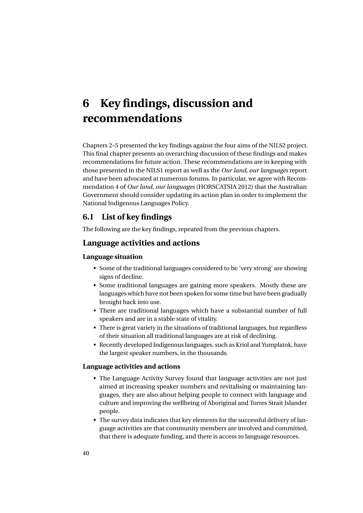# **6 Key findings, discussion and recommendations**

Chapters 2–5 presented the key findings against the four aims of the NILS2 project. This final chapter presents an overarching discussion of these findings and makes recommendations for future action. These recommendations are in keeping with those presented in the NILS1 report as well as the *Our land, our languages* report and have been advocated at numerous forums. In particular, we agree with Recommendation 4 of *Our land, our languages* [\(HORSCATSIA 2012\)](#page-76-0) that the Australian Government should consider updating its action plan in order to implement the National Indigenous Languages Policy.

# **6.1 List of key findings**

The following are the key findings, repeated from the previous chapters.

## **Language activities and actions**

## **Language situation**

- Some of the traditional languages considered to be 'very strong' are showing signs of decline.
- Some traditional languages are gaining more speakers. Mostly these are languages which have not been spoken for some time but have been gradually brought back into use.
- There are traditional languages which have a substantial number of full speakers and are in a stable state of vitality.
- There is great variety in the situations of traditional languages, but regardless of their situation all traditional languages are at risk of declining.
- Recently developed Indigenous languages, such as Kriol and Yumplatok, have the largest speaker numbers, in the thousands.

#### **Language activities and actions**

- The Language Activity Survey found that language activities are not just aimed at increasing speaker numbers and revitalising or maintaining languages, they are also about helping people to connect with language and culture and improving the wellbeing of Aboriginal and Torres Strait Islander people.
- The survey data indicates that key elements for the successful delivery of language activities are that community members are involved and committed, that there is adequate funding, and there is access to language resources.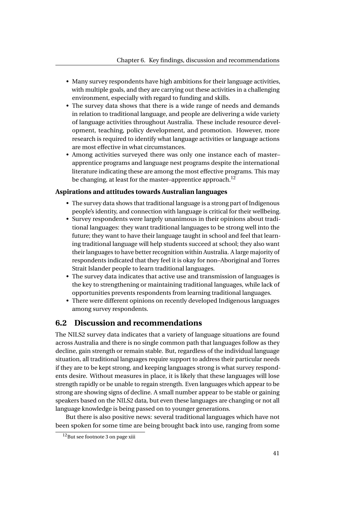- Many survey respondents have high ambitions for their language activities, with multiple goals, and they are carrying out these activities in a challenging environment, especially with regard to funding and skills.
- The survey data shows that there is a wide range of needs and demands in relation to traditional language, and people are delivering a wide variety of language activities throughout Australia. These include resource development, teaching, policy development, and promotion. However, more research is required to identify what language activities or language actions are most effective in what circumstances.
- Among activities surveyed there was only one instance each of master– apprentice programs and language nest programs despite the international literature indicating these are among the most effective programs. This may be changing, at least for the master-apprentice approach.<sup>[12](#page-56-0)</sup>

### **Aspirations and attitudes towards Australian languages**

- The survey data shows that traditional language is a strong part of Indigenous people's identity, and connection with language is critical for their wellbeing.
- Survey respondents were largely unanimous in their opinions about traditional languages: they want traditional languages to be strong well into the future; they want to have their language taught in school and feel that learning traditional language will help students succeed at school; they also want their languages to have better recognition within Australia. A large majority of respondents indicated that they feel it is okay for non–Aboriginal and Torres Strait Islander people to learn traditional languages.
- The survey data indicates that active use and transmission of languages is the key to strengthening or maintaining traditional languages, while lack of opportunities prevents respondents from learning traditional languages.
- There were different opinions on recently developed Indigenous languages among survey respondents.

## **6.2 Discussion and recommendations**

The NILS2 survey data indicates that a variety of language situations are found across Australia and there is no single common path that languages follow as they decline, gain strength or remain stable. But, regardless of the individual language situation, all traditional languages require support to address their particular needs if they are to be kept strong, and keeping languages strong is what survey respondents desire. Without measures in place, it is likely that these languages will lose strength rapidly or be unable to regain strength. Even languages which appear to be strong are showing signs of decline. A small number appear to be stable or gaining speakers based on the NILS2 data, but even these languages are changing or not all language knowledge is being passed on to younger generations.

But there is also positive news: several traditional languages which have not been spoken for some time are being brought back into use, ranging from some

<span id="page-56-0"></span><sup>12</sup>But see footnote [3](#page-12-0) on page [xiii](#page-12-0)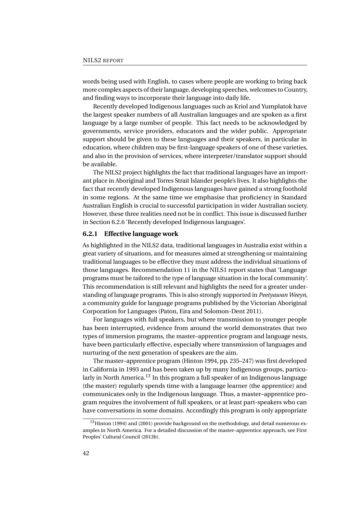words being used with English, to cases where people are working to bring back more complex aspects of their language, developing speeches, welcomes to Country, and finding ways to incorporate their language into daily life.

Recently developed Indigenous languages such as Kriol and Yumplatok have the largest speaker numbers of all Australian languages and are spoken as a first language by a large number of people. This fact needs to be acknowledged by governments, service providers, educators and the wider public. Appropriate support should be given to these languages and their speakers, in particular in education, where children may be first-language speakers of one of these varieties, and also in the provision of services, where interpreter/translator support should be available.

The NILS2 project highlights the fact that traditional languages have an important place in Aboriginal and Torres Strait Islander people's lives. It also highlights the fact that recently developed Indigenous languages have gained a strong foothold in some regions. At the same time we emphasise that proficiency in Standard Australian English is crucial to successful participation in wider Australian society. However, these three realities need not be in conflict. This issue is discussed further in Section [6.2.6](#page-69-0) 'Recently developed Indigenous languages'.

#### **6.2.1 Effective language work**

As highlighted in the NILS2 data, traditional languages in Australia exist within a great variety of situations, and for measures aimed at strengthening or maintaining traditional languages to be effective they must address the individual situations of those languages. Recommendation 11 in the NILS1 report states that 'Language programs must be tailored to the type of language situation in the local community'. This recommendation is still relevant and highlights the need for a greater understanding of language programs. This is also strongly supported in *Peetyawan Weeyn*, a community guide for language programs published by the Victorian Aboriginal Corporation for Languages (Paton, Eira and Solomon-Dent [2011\)](#page-78-1).

For languages with full speakers, but where transmission to younger people has been interrupted, evidence from around the world demonstrates that two types of immersion programs, the master–apprentice program and language nests, have been particularly effective, especially where transmission of languages and nurturing of the next generation of speakers are the aim.

The master–apprentice program (Hinton [1994,](#page-76-1) pp. 235–247) was first developed in California in 1993 and has been taken up by many Indigenous groups, particu-larly in North America.<sup>[13](#page-57-0)</sup> In this program a full speaker of an Indigenous language (the master) regularly spends time with a language learner (the apprentice) and communicates only in the Indigenous language. Thus, a master–apprentice program requires the involvement of full speakers, or at least part-speakers who can have conversations in some domains. Accordingly this program is only appropriate

<span id="page-57-0"></span> $13$ Hinton [\(1994\)](#page-76-1) and [\(2001\)](#page-76-2) provide background on the methodology, and detail numerous examples in North America. For a detailed discussion of the master–apprentice approach, see First Peoples' Cultural Council [\(2013b\)](#page-76-3).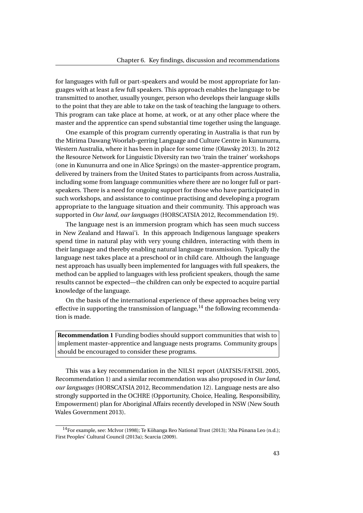for languages with full or part-speakers and would be most appropriate for languages with at least a few full speakers. This approach enables the language to be transmitted to another, usually younger, person who develops their language skills to the point that they are able to take on the task of teaching the language to others. This program can take place at home, at work, or at any other place where the master and the apprentice can spend substantial time together using the language.

One example of this program currently operating in Australia is that run by the Mirima Dawang Woorlab-gerring Language and Culture Centre in Kununurra, Western Australia, where it has been in place for some time (Olawsky [2013\)](#page-77-2). In 2012 the Resource Network for Linguistic Diversity ran two 'train the trainer' workshops (one in Kununurra and one in Alice Springs) on the master–apprentice program, delivered by trainers from the United States to participants from across Australia, including some from language communities where there are no longer full or partspeakers. There is a need for ongoing support for those who have participated in such workshops, and assistance to continue practising and developing a program appropriate to the language situation and their community. This approach was supported in *Our land, our languages* [\(HORSCATSIA 2012,](#page-76-0) Recommendation 19).

The language nest is an immersion program which has seen much success in New Zealand and Hawai'i. In this approach Indigenous language speakers spend time in natural play with very young children, interacting with them in their language and thereby enabling natural language transmission. Typically the language nest takes place at a preschool or in child care. Although the language nest approach has usually been implemented for languages with full speakers, the method can be applied to languages with less proficient speakers, though the same results cannot be expected—the children can only be expected to acquire partial knowledge of the language.

On the basis of the international experience of these approaches being very effective in supporting the transmission of language,  $14$  the following recommendation is made.

**Recommendation 1** Funding bodies should support communities that wish to implement master–apprentice and language nests programs. Community groups should be encouraged to consider these programs.

This was a key recommendation in the NILS1 report [\(AIATSIS/FATSIL 2005,](#page-75-1) Recommendation 1) and a similar recommendation was also proposed in *Our land, our languages* [\(HORSCATSIA 2012,](#page-76-0) Recommendation 12). Language nests are also strongly supported in the OCHRE (Opportunity, Choice, Healing, Responsibility, Empowerment) plan for Aboriginal Affairs recently developed in NSW (New South Wales Government [2013\)](#page-77-3).

<span id="page-58-0"></span> $^{14}$  For example, see: McIvor [\(1998\)](#page-77-4); Te Kōhanga Reo National Trust ([2013\)](#page-78-2); 'Aha Pūnana Leo ([n.d.\)](#page-75-2); First Peoples' Cultural Council [\(2013a\)](#page-76-4); Scarcia [\(2009\)](#page-78-3).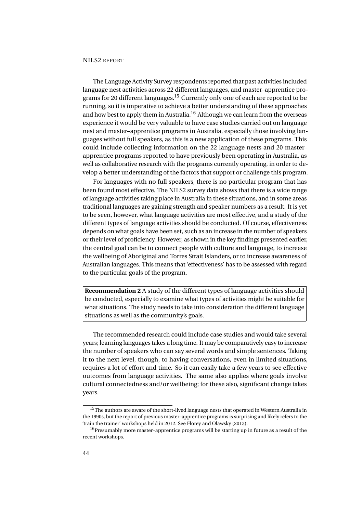The Language Activity Survey respondents reported that past activities included language nest activities across 22 different languages, and master–apprentice pro-grams for 20 different languages.<sup>[15](#page-59-0)</sup> Currently only one of each are reported to be running, so it is imperative to achieve a better understanding of these approaches and how best to apply them in Australia.<sup>[16](#page-59-1)</sup> Although we can learn from the overseas experience it would be very valuable to have case studies carried out on language nest and master–apprentice programs in Australia, especially those involving languages without full speakers, as this is a new application of these programs. This could include collecting information on the 22 language nests and 20 master– apprentice programs reported to have previously been operating in Australia, as well as collaborative research with the programs currently operating, in order to develop a better understanding of the factors that support or challenge this program.

For languages with no full speakers, there is no particular program that has been found most effective. The NILS2 survey data shows that there is a wide range of language activities taking place in Australia in these situations, and in some areas traditional languages are gaining strength and speaker numbers as a result. It is yet to be seen, however, what language activities are most effective, and a study of the different types of language activities should be conducted. Of course, effectiveness depends on what goals have been set, such as an increase in the number of speakers or their level of proficiency. However, as shown in the key findings presented earlier, the central goal can be to connect people with culture and language, to increase the wellbeing of Aboriginal and Torres Strait Islanders, or to increase awareness of Australian languages. This means that 'effectiveness' has to be assessed with regard to the particular goals of the program.

**Recommendation 2** A study of the different types of language activities should be conducted, especially to examine what types of activities might be suitable for what situations. The study needs to take into consideration the different language situations as well as the community's goals.

The recommended research could include case studies and would take several years; learning languages takes a long time. It may be comparatively easy to increase the number of speakers who can say several words and simple sentences. Taking it to the next level, though, to having conversations, even in limited situations, requires a lot of effort and time. So it can easily take a few years to see effective outcomes from language activities. The same also applies where goals involve cultural connectedness and/or wellbeing; for these also, significant change takes years.

<span id="page-59-0"></span> $^{15}\mathrm{The}$  authors are aware of the short-lived language nests that operated in Western Australia in the 1990s, but the report of previous master–apprentice programs is surprising and likely refers to the 'train the trainer' workshops held in 2012. See Florey and Olawsky [\(2013\)](#page-76-5).

<span id="page-59-1"></span><sup>&</sup>lt;sup>16</sup>Presumably more master-apprentice programs will be starting up in future as a result of the recent workshops.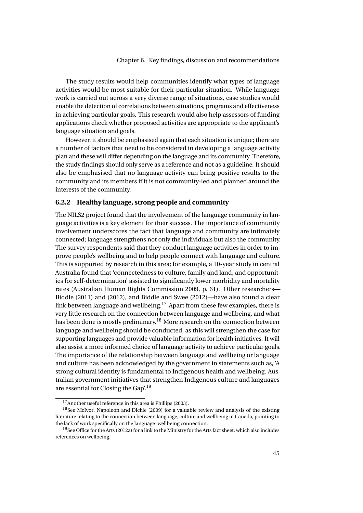The study results would help communities identify what types of language activities would be most suitable for their particular situation. While language work is carried out across a very diverse range of situations, case studies would enable the detection of correlations between situations, programs and effectiveness in achieving particular goals. This research would also help assessors of funding applications check whether proposed activities are appropriate to the applicant's language situation and goals.

However, it should be emphasised again that each situation is unique; there are a number of factors that need to be considered in developing a language activity plan and these will differ depending on the language and its community. Therefore, the study findings should only serve as a reference and not as a guideline. It should also be emphasised that no language activity can bring positive results to the community and its members if it is not community-led and planned around the interests of the community.

### **6.2.2 Healthy language, strong people and community**

The NILS2 project found that the involvement of the language community in language activities is a key element for their success. The importance of community involvement underscores the fact that language and community are intimately connected; language strengthens not only the individuals but also the community. The survey respondents said that they conduct language activities in order to improve people's wellbeing and to help people connect with language and culture. This is supported by research in this area; for example, a 10-year study in central Australia found that 'connectedness to culture, family and land, and opportunities for self-determination' assisted to significantly lower morbidity and mortality rates (Australian Human Rights Commission [2009,](#page-75-3) p. 61). Other researchers— Biddle [\(2011\)](#page-75-4) and [\(2012\)](#page-76-6), and Biddle and Swee [\(2012\)](#page-76-7)—have also found a clear link between language and wellbeing.<sup>[17](#page-60-0)</sup> Apart from these few examples, there is very little research on the connection between language and wellbeing, and what has been done is mostly preliminary.<sup>[18](#page-60-1)</sup> More research on the connection between language and wellbeing should be conducted, as this will strengthen the case for supporting languages and provide valuable information for health initiatives. It will also assist a more informed choice of language activity to achieve particular goals. The importance of the relationship between language and wellbeing or language and culture has been acknowledged by the government in statements such as, 'A strong cultural identity is fundamental to Indigenous health and wellbeing. Australian government initiatives that strengthen Indigenous culture and languages are essential for Closing the Gap'.[19](#page-60-2)

<span id="page-60-1"></span><span id="page-60-0"></span><sup>17</sup>Another useful reference in this area is Phillips [\(2003\)](#page-78-4).

<sup>18</sup>See McIvor, Napoleon and Dickie [\(2009\)](#page-77-5) for a valuable review and analysis of the existing literature relating to the connection between language, culture and wellbeing in Canada, pointing to the lack of work specifically on the language–wellbeing connection.

<span id="page-60-2"></span> $19$ See Office for the Arts [\(2012a\)](#page-77-6) for a link to the Ministry for the Arts fact sheet, which also includes references on wellbeing.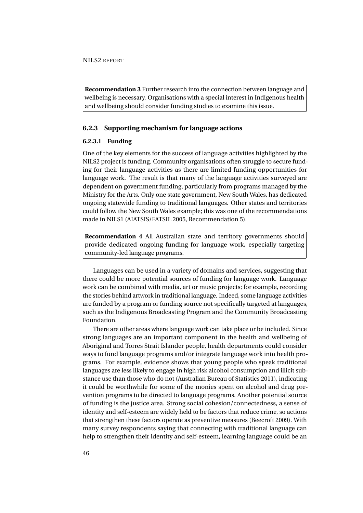**Recommendation 3** Further research into the connection between language and wellbeing is necessary. Organisations with a special interest in Indigenous health and wellbeing should consider funding studies to examine this issue.

#### **6.2.3 Supporting mechanism for language actions**

#### **6.2.3.1 Funding**

One of the key elements for the success of language activities highlighted by the NILS2 project is funding. Community organisations often struggle to secure funding for their language activities as there are limited funding opportunities for language work. The result is that many of the language activities surveyed are dependent on government funding, particularly from programs managed by the Ministry for the Arts. Only one state government, New South Wales, has dedicated ongoing statewide funding to traditional languages. Other states and territories could follow the New South Wales example; this was one of the recommendations made in NILS1 [\(AIATSIS/FATSIL 2005,](#page-75-1) Recommendation 5).

**Recommendation 4** All Australian state and territory governments should provide dedicated ongoing funding for language work, especially targeting community-led language programs.

Languages can be used in a variety of domains and services, suggesting that there could be more potential sources of funding for language work. Language work can be combined with media, art or music projects; for example, recording the stories behind artwork in traditional language. Indeed, some language activities are funded by a program or funding source not specifically targeted at languages, such as the Indigenous Broadcasting Program and the Community Broadcasting Foundation.

There are other areas where language work can take place or be included. Since strong languages are an important component in the health and wellbeing of Aboriginal and Torres Strait Islander people, health departments could consider ways to fund language programs and/or integrate language work into health programs. For example, evidence shows that young people who speak traditional languages are less likely to engage in high risk alcohol consumption and illicit substance use than those who do not (Australian Bureau of Statistics [2011\)](#page-75-5), indicating it could be worthwhile for some of the monies spent on alcohol and drug prevention programs to be directed to language programs. Another potential source of funding is the justice area. Strong social cohesion/connectedness, a sense of identity and self-esteem are widely held to be factors that reduce crime, so actions that strengthen these factors operate as preventive measures (Beecroft [2009\)](#page-75-6). With many survey respondents saying that connecting with traditional language can help to strengthen their identity and self-esteem, learning language could be an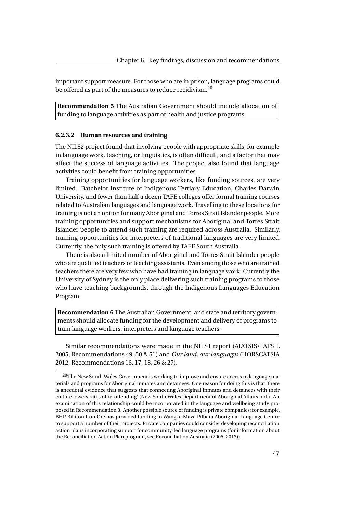important support measure. For those who are in prison, language programs could be offered as part of the measures to reduce recidivism.<sup>[20](#page-62-0)</sup>

**Recommendation 5** The Australian Government should include allocation of funding to language activities as part of health and justice programs.

#### **6.2.3.2 Human resources and training**

The NILS2 project found that involving people with appropriate skills, for example in language work, teaching, or linguistics, is often difficult, and a factor that may affect the success of language activities. The project also found that language activities could benefit from training opportunities.

Training opportunities for language workers, like funding sources, are very limited. Batchelor Institute of Indigenous Tertiary Education, Charles Darwin University, and fewer than half a dozen TAFE colleges offer formal training courses related to Australian languages and language work. Travelling to these locations for training is not an option for many Aboriginal and Torres Strait Islander people. More training opportunities and support mechanisms for Aboriginal and Torres Strait Islander people to attend such training are required across Australia. Similarly, training opportunities for interpreters of traditional languages are very limited. Currently, the only such training is offered by TAFE South Australia.

There is also a limited number of Aboriginal and Torres Strait Islander people who are qualified teachers or teaching assistants. Even among those who are trained teachers there are very few who have had training in language work. Currently the University of Sydney is the only place delivering such training programs to those who have teaching backgrounds, through the Indigenous Languages Education Program.

**Recommendation 6** The Australian Government, and state and territory governments should allocate funding for the development and delivery of programs to train language workers, interpreters and language teachers.

Similar recommendations were made in the NILS1 report [\(AIATSIS/FATSIL](#page-75-1) [2005,](#page-75-1) Recommendations 49, 50 & 51) and *Our land, our languages* [\(HORSCATSIA](#page-76-0) [2012,](#page-76-0) Recommendations 16, 17, 18, 26 & 27).

<span id="page-62-0"></span> $^{20}$ The New South Wales Government is working to improve and ensure access to language materials and programs for Aboriginal inmates and detainees. One reason for doing this is that 'there is anecdotal evidence that suggests that connecting Aboriginal inmates and detainees with their culture lowers rates of re-offending' (New South Wales Department of Aboriginal Affairs [n.d.\)](#page-77-7). An examination of this relationship could be incorporated in the language and wellbeing study proposed in Recommendation 3. Another possible source of funding is private companies; for example, BHP Billiton Iron Ore has provided funding to Wangka Maya Pilbara Aboriginal Language Centre to support a number of their projects. Private companies could consider developing reconciliation action plans incorporating support for community-led language programs (for information about the Reconciliation Action Plan program, see Reconciliation Australia [\(2005–2013\)](#page-78-5)).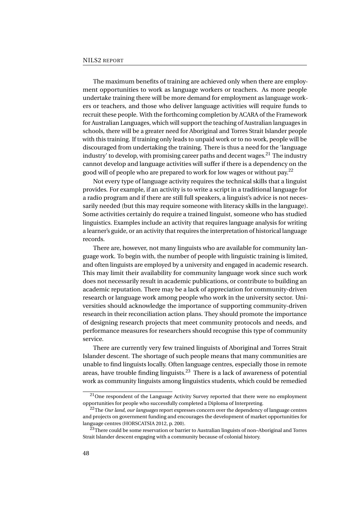The maximum benefits of training are achieved only when there are employment opportunities to work as language workers or teachers. As more people undertake training there will be more demand for employment as language workers or teachers, and those who deliver language activities will require funds to recruit these people. With the forthcoming completion by ACARA of the Framework for Australian Languages, which will support the teaching of Australian languages in schools, there will be a greater need for Aboriginal and Torres Strait Islander people with this training. If training only leads to unpaid work or to no work, people will be discouraged from undertaking the training. There is thus a need for the 'language industry' to develop, with promising career paths and decent wages.<sup>[21](#page-63-0)</sup> The industry cannot develop and language activities will suffer if there is a dependency on the good will of people who are prepared to work for low wages or without pay.<sup>[22](#page-63-1)</sup>

Not every type of language activity requires the technical skills that a linguist provides. For example, if an activity is to write a script in a traditional language for a radio program and if there are still full speakers, a linguist's advice is not necessarily needed (but this may require someone with literacy skills in the language). Some activities certainly do require a trained linguist, someone who has studied linguistics. Examples include an activity that requires language analysis for writing a learner's guide, or an activity that requires the interpretation of historical language records.

There are, however, not many linguists who are available for community language work. To begin with, the number of people with linguistic training is limited, and often linguists are employed by a university and engaged in academic research. This may limit their availability for community language work since such work does not necessarily result in academic publications, or contribute to building an academic reputation. There may be a lack of appreciation for community-driven research or language work among people who work in the university sector. Universities should acknowledge the importance of supporting community-driven research in their reconciliation action plans. They should promote the importance of designing research projects that meet community protocols and needs, and performance measures for researchers should recognise this type of community service.

There are currently very few trained linguists of Aboriginal and Torres Strait Islander descent. The shortage of such people means that many communities are unable to find linguists locally. Often language centres, especially those in remote areas, have trouble finding linguists.<sup>[23](#page-63-2)</sup> There is a lack of awareness of potential work as community linguists among linguistics students, which could be remedied

<span id="page-63-0"></span><sup>&</sup>lt;sup>21</sup>One respondent of the Language Activity Survey reported that there were no employment opportunities for people who successfully completed a Diploma of Interpreting.

<span id="page-63-1"></span><sup>22</sup>The *Our land, our languages* report expresses concern over the dependency of language centres and projects on government funding and encourages the development of market opportunities for language centres [\(HORSCATSIA 2012,](#page-76-0) p. 200).

<span id="page-63-2"></span> $^{23}$ There could be some reservation or barrier to Australian linguists of non-Aboriginal and Torres Strait Islander descent engaging with a community because of colonial history.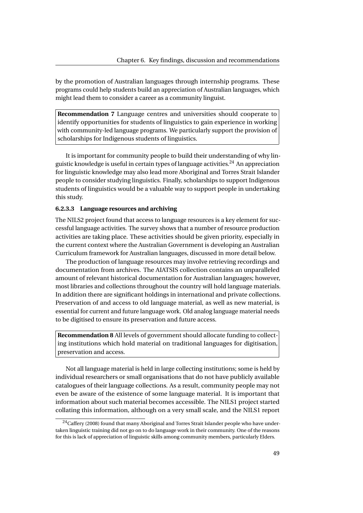by the promotion of Australian languages through internship programs. These programs could help students build an appreciation of Australian languages, which might lead them to consider a career as a community linguist.

**Recommendation 7** Language centres and universities should cooperate to identify opportunities for students of linguistics to gain experience in working with community-led language programs. We particularly support the provision of scholarships for Indigenous students of linguistics.

It is important for community people to build their understanding of why linguistic knowledge is useful in certain types of language activities. $^{24}$  $^{24}$  $^{24}$  An appreciation for linguistic knowledge may also lead more Aboriginal and Torres Strait Islander people to consider studying linguistics. Finally, scholarships to support Indigenous students of linguistics would be a valuable way to support people in undertaking this study.

#### **6.2.3.3 Language resources and archiving**

The NILS2 project found that access to language resources is a key element for successful language activities. The survey shows that a number of resource production activities are taking place. These activities should be given priority, especially in the current context where the Australian Government is developing an Australian Curriculum framework for Australian languages, discussed in more detail below.

The production of language resources may involve retrieving recordings and documentation from archives. The AIATSIS collection contains an unparalleled amount of relevant historical documentation for Australian languages; however, most libraries and collections throughout the country will hold language materials. In addition there are significant holdings in international and private collections. Preservation of and access to old language material, as well as new material, is essential for current and future language work. Old analog language material needs to be digitised to ensure its preservation and future access.

**Recommendation 8** All levels of government should allocate funding to collecting institutions which hold material on traditional languages for digitisation, preservation and access.

Not all language material is held in large collecting institutions; some is held by individual researchers or small organisations that do not have publicly available catalogues of their language collections. As a result, community people may not even be aware of the existence of some language material. It is important that information about such material becomes accessible. The NILS1 project started collating this information, although on a very small scale, and the NILS1 report

<span id="page-64-0"></span> $24$ Caffery [\(2008\)](#page-76-8) found that many Aboriginal and Torres Strait Islander people who have undertaken linguistic training did not go on to do language work in their community. One of the reasons for this is lack of appreciation of linguistic skills among community members, particularly Elders.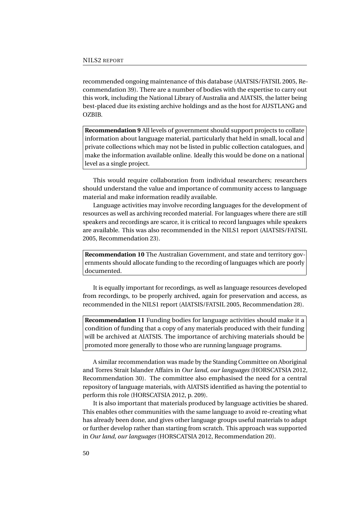recommended ongoing maintenance of this database [\(AIATSIS/FATSIL 2005,](#page-75-1) Recommendation 39). There are a number of bodies with the expertise to carry out this work, including the National Library of Australia and AIATSIS, the latter being best-placed due its existing archive holdings and as the host for AUSTLANG and OZBIB.

**Recommendation 9** All levels of government should support projects to collate information about language material, particularly that held in small, local and private collections which may not be listed in public collection catalogues, and make the information available online. Ideally this would be done on a national level as a single project.

This would require collaboration from individual researchers; researchers should understand the value and importance of community access to language material and make information readily available.

Language activities may involve recording languages for the development of resources as well as archiving recorded material. For languages where there are still speakers and recordings are scarce, it is critical to record languages while speakers are available. This was also recommended in the NILS1 report [\(AIATSIS/FATSIL](#page-75-1) [2005,](#page-75-1) Recommendation 23).

**Recommendation 10** The Australian Government, and state and territory governments should allocate funding to the recording of languages which are poorly documented.

It is equally important for recordings, as well as language resources developed from recordings, to be properly archived, again for preservation and access, as recommended in the NILS1 report [\(AIATSIS/FATSIL 2005,](#page-75-1) Recommendation 28).

**Recommendation 11** Funding bodies for language activities should make it a condition of funding that a copy of any materials produced with their funding will be archived at AIATSIS. The importance of archiving materials should be promoted more generally to those who are running language programs.

A similar recommendation was made by the Standing Committee on Aboriginal and Torres Strait Islander Affairs in *Our land, our languages* [\(HORSCATSIA 2012,](#page-76-0) Recommendation 30). The committee also emphasised the need for a central repository of language materials, with AIATSIS identified as having the potential to perform this role [\(HORSCATSIA 2012,](#page-76-0) p. 209).

It is also important that materials produced by language activities be shared. This enables other communities with the same language to avoid re-creating what has already been done, and gives other language groups useful materials to adapt or further develop rather than starting from scratch. This approach was supported in *Our land, our languages* [\(HORSCATSIA 2012,](#page-76-0) Recommendation 20).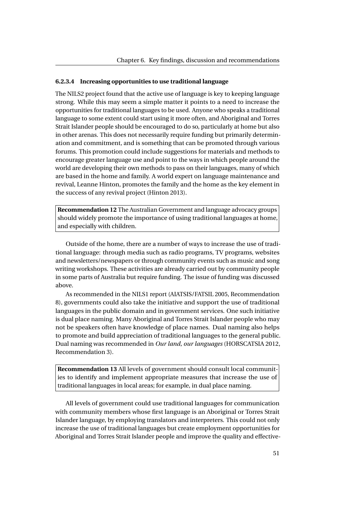#### **6.2.3.4 Increasing opportunities to use traditional language**

The NILS2 project found that the active use of language is key to keeping language strong. While this may seem a simple matter it points to a need to increase the opportunities for traditional languages to be used. Anyone who speaks a traditional language to some extent could start using it more often, and Aboriginal and Torres Strait Islander people should be encouraged to do so, particularly at home but also in other arenas. This does not necessarily require funding but primarily determination and commitment, and is something that can be promoted through various forums. This promotion could include suggestions for materials and methods to encourage greater language use and point to the ways in which people around the world are developing their own methods to pass on their languages, many of which are based in the home and family. A world expert on language maintenance and revival, Leanne Hinton, promotes the family and the home as the key element in the success of any revival project (Hinton [2013\)](#page-76-9).

**Recommendation 12** The Australian Government and language advocacy groups should widely promote the importance of using traditional languages at home, and especially with children.

Outside of the home, there are a number of ways to increase the use of traditional language: through media such as radio programs, TV programs, websites and newsletters/newspapers or through community events such as music and song writing workshops. These activities are already carried out by community people in some parts of Australia but require funding. The issue of funding was discussed above.

As recommended in the NILS1 report [\(AIATSIS/FATSIL 2005,](#page-75-1) Recommendation 8), governments could also take the initiative and support the use of traditional languages in the public domain and in government services. One such initiative is dual place naming. Many Aboriginal and Torres Strait Islander people who may not be speakers often have knowledge of place names. Dual naming also helps to promote and build appreciation of traditional languages to the general public. Dual naming was recommended in *Our land, our languages* [\(HORSCATSIA 2012,](#page-76-0) Recommendation 3).

**Recommendation 13** All levels of government should consult local communities to identify and implement appropriate measures that increase the use of traditional languages in local areas; for example, in dual place naming.

All levels of government could use traditional languages for communication with community members whose first language is an Aboriginal or Torres Strait Islander language, by employing translators and interpreters. This could not only increase the use of traditional languages but create employment opportunities for Aboriginal and Torres Strait Islander people and improve the quality and effective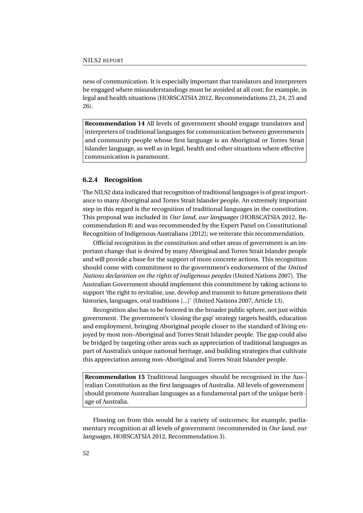ness of communication. It is especially important that translators and interpreters be engaged where misunderstandings must be avoided at all cost; for example, in legal and health situations [\(HORSCATSIA 2012,](#page-76-0) Recommendations 23, 24, 25 and 26).

**Recommendation 14** All levels of government should engage translators and interpreters of traditional languages for communication between governments and community people whose first language is an Aboriginal or Torres Strait Islander language, as well as in legal, health and other situations where effective communication is paramount.

#### **6.2.4 Recognition**

The NILS2 data indicated that recognition of traditional languages is of great importance to many Aboriginal and Torres Strait Islander people. An extremely important step in this regard is the recognition of traditional languages in the constitution. This proposal was included in *Our land, our languages* [\(HORSCATSIA 2012,](#page-76-0) Recommendation 8) and was recommended by the Expert Panel on Constitutional Recognition of Indigenous Australians [\(2012\)](#page-76-10); we reiterate this recommendation.

Official recognition in the constitution and other areas of government is an important change that is desired by many Aboriginal and Torres Strait Islander people and will provide a base for the support of more concrete actions. This recognition should come with commitment to the government's endorsement of the *United Nations declaration on the rights of indigenous peoples* (United Nations [2007\)](#page-78-6). The Australian Government should implement this commitment by taking actions to support 'the right to revitalise, use, develop and transmit to future generations their histories, languages, oral traditions [...]' (United Nations [2007,](#page-78-6) Article 13).

Recognition also has to be fostered in the broader public sphere, not just within government. The government's 'closing the gap' strategy targets health, education and employment, bringing Aboriginal people closer to the standard of living enjoyed by most non–Aboriginal and Torres Strait Islander people. The gap could also be bridged by targeting other areas such as appreciation of traditional languages as part of Australia's unique national heritage, and building strategies that cultivate this appreciation among non–Aboriginal and Torres Strait Islander people.

**Recommendation 15** Traditional languages should be recognised in the Australian Constitution as the first languages of Australia. All levels of government should promote Australian languages as a fundamental part of the unique heritage of Australia.

Flowing on from this would be a variety of outcomes; for example, parliamentary recognition at all levels of government (recommended in *Our land, our languages*, [HORSCATSIA 2012,](#page-76-0) Recommendation 3).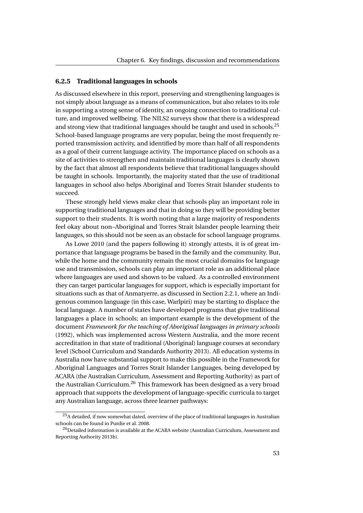#### **6.2.5 Traditional languages in schools**

As discussed elsewhere in this report, preserving and strengthening languages is not simply about language as a means of communication, but also relates to its role in supporting a strong sense of identity, an ongoing connection to traditional culture, and improved wellbeing. The NILS2 surveys show that there is a widespread and strong view that traditional languages should be taught and used in schools.<sup>[25](#page-68-0)</sup> School-based language programs are very popular, being the most frequently reported transmission activity, and identified by more than half of all respondents as a goal of their current language activity. The importance placed on schools as a site of activities to strengthen and maintain traditional languages is clearly shown by the fact that almost all respondents believe that traditional languages should be taught in schools. Importantly, the majority stated that the use of traditional languages in school also helps Aboriginal and Torres Strait Islander students to succeed.

These strongly held views make clear that schools play an important role in supporting traditional languages and that in doing so they will be providing better support to their students. It is worth noting that a large majority of respondents feel okay about non–Aboriginal and Torres Strait Islander people learning their languages, so this should not be seen as an obstacle for school language programs.

As Lowe [2010](#page-77-8) (and the papers following it) strongly attests, it is of great importance that language programs be based in the family and the community. But, while the home and the community remain the most crucial domains for language use and transmission, schools can play an important role as an additional place where languages are used and shown to be valued. As a controlled environment they can target particular languages for support, which is especially important for situations such as that of Anmatyerre, as discussed in Section [2.2.1,](#page-23-0) where an Indigenous common language (in this case, Warlpiri) may be starting to displace the local language. A number of states have developed programs that give traditional languages a place in schools; an important example is the development of the document *[Framework for the teaching of Aboriginal languages in primary schools](#page-76-11)* [\(1992\)](#page-76-11), which was implemented across Western Australia, and the more recent accreditation in that state of traditional (Aboriginal) language courses at secondary level (School Curriculum and Standards Authority [2013\)](#page-78-7). All education systems in Australia now have substantial support to make this possible in the Framework for Aboriginal Languages and Torres Strait Islander Languages, being developed by ACARA (the Australian Curriculum, Assessment and Reporting Authority) as part of the Australian Curriculum.<sup>[26](#page-68-1)</sup> This framework has been designed as a very broad approach that supports the development of language-specific curricula to target any Australian language, across three learner pathways:

<span id="page-68-0"></span> $^{25}\mathrm{A}$  detailed, if now somewhat dated, overview of the place of traditional languages in Australian schools can be found in Purdie et al. [2008.](#page-78-0)

<span id="page-68-1"></span> $^{26}\rm{Det}$  information is available at the ACARA website (Australian Curriculum, Assessment and Reporting Authority [2013b\)](#page-75-7).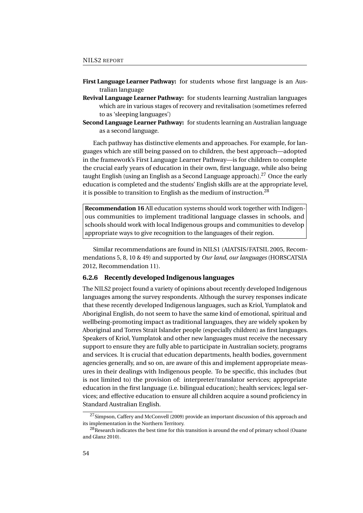- **First Language Learner Pathway:** for students whose first language is an Australian language
- **Revival Language Learner Pathway:** for students learning Australian languages which are in various stages of recovery and revitalisation (sometimes referred to as 'sleeping languages')
- **Second Language Learner Pathway:** for students learning an Australian language as a second language.

Each pathway has distinctive elements and approaches. For example, for languages which are still being passed on to children, the best approach—adopted in the framework's First Language Learner Pathway—is for children to complete the crucial early years of education in their own, first language, while also being taught English (using an English as a Second Language approach).<sup>[27](#page-69-1)</sup> Once the early education is completed and the students' English skills are at the appropriate level, it is possible to transition to English as the medium of instruction.<sup>[28](#page-69-2)</sup>

**Recommendation 16** All education systems should work together with Indigenous communities to implement traditional language classes in schools, and schools should work with local Indigenous groups and communities to develop appropriate ways to give recognition to the languages of their region.

Similar recommendations are found in NILS1 [\(AIATSIS/FATSIL 2005,](#page-75-1) Recommendations 5, 8, 10 & 49) and supported by *Our land, our languages* [\(HORSCATSIA](#page-76-0) [2012,](#page-76-0) Recommendation 11).

### <span id="page-69-0"></span>**6.2.6 Recently developed Indigenous languages**

The NILS2 project found a variety of opinions about recently developed Indigenous languages among the survey respondents. Although the survey responses indicate that these recently developed Indigenous languages, such as Kriol, Yumplatok and Aboriginal English, do not seem to have the same kind of emotional, spiritual and wellbeing-promoting impact as traditional languages, they are widely spoken by Aboriginal and Torres Strait Islander people (especially children) as first languages. Speakers of Kriol, Yumplatok and other new languages must receive the necessary support to ensure they are fully able to participate in Australian society, programs and services. It is crucial that education departments, health bodies, government agencies generally, and so on, are aware of this and implement appropriate measures in their dealings with Indigenous people. To be specific, this includes (but is not limited to) the provision of: interpreter/translator services; appropriate education in the first language (i.e. bilingual education); health services; legal services; and effective education to ensure all children acquire a sound proficiency in Standard Australian English.

<span id="page-69-1"></span> $^{27}$  Simpson, Caffery and McConvell [\(2009\)](#page-78-8) provide an important discussion of this approach and its implementation in the Northern Territory.

<span id="page-69-2"></span><sup>&</sup>lt;sup>28</sup>Research indicates the best time for this transition is around the end of primary school (Ouane and Glanz [2010\)](#page-77-9).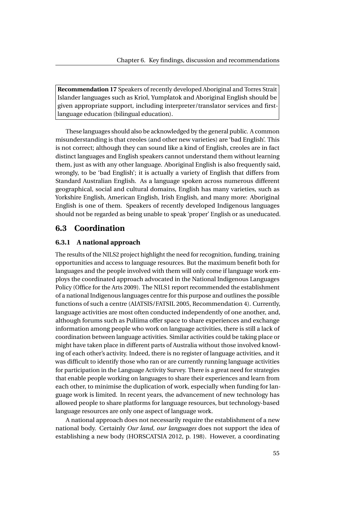**Recommendation 17** Speakers of recently developed Aboriginal and Torres Strait Islander languages such as Kriol, Yumplatok and Aboriginal English should be given appropriate support, including interpreter/translator services and firstlanguage education (bilingual education).

These languages should also be acknowledged by the general public. A common misunderstanding is that creoles (and other new varieties) are 'bad English'. This is not correct; although they can sound like a kind of English, creoles are in fact distinct languages and English speakers cannot understand them without learning them, just as with any other language. Aboriginal English is also frequently said, wrongly, to be 'bad English'; it is actually a variety of English that differs from Standard Australian English. As a language spoken across numerous different geographical, social and cultural domains, English has many varieties, such as Yorkshire English, American English, Irish English, and many more: Aboriginal English is one of them. Speakers of recently developed Indigenous languages should not be regarded as being unable to speak 'proper' English or as uneducated.

## **6.3 Coordination**

### **6.3.1 A national approach**

The results of the NILS2 project highlight the need for recognition, funding, training opportunities and access to language resources. But the maximum benefit both for languages and the people involved with them will only come if language work employs the coordinated approach advocated in the National Indigenous Languages Policy (Office for the Arts [2009\)](#page-77-10). The NILS1 report recommended the establishment of a national Indigenous languages centre for this purpose and outlines the possible functions of such a centre [\(AIATSIS/FATSIL 2005,](#page-75-1) Recommendation 4). Currently, language activities are most often conducted independently of one another, and, although forums such as Puliima offer space to share experiences and exchange information among people who work on language activities, there is still a lack of coordination between language activities. Similar activities could be taking place or might have taken place in different parts of Australia without those involved knowling of each other's activity. Indeed, there is no register of language activities, and it was difficult to identify those who ran or are currently running language activities for participation in the Language Activity Survey. There is a great need for strategies that enable people working on languages to share their experiences and learn from each other, to minimise the duplication of work, especially when funding for language work is limited. In recent years, the advancement of new technology has allowed people to share platforms for language resources, but technology-based language resources are only one aspect of language work.

A national approach does not necessarily require the establishment of a new national body. Certainly *Our land, our languages* does not support the idea of establishing a new body [\(HORSCATSIA 2012,](#page-76-0) p. 198). However, a coordinating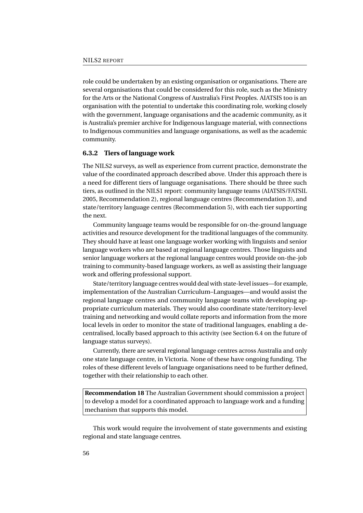role could be undertaken by an existing organisation or organisations. There are several organisations that could be considered for this role, such as the Ministry for the Arts or the National Congress of Australia's First Peoples. AIATSIS too is an organisation with the potential to undertake this coordinating role, working closely with the government, language organisations and the academic community, as it is Australia's premier archive for Indigenous language material, with connections to Indigenous communities and language organisations, as well as the academic community.

#### **6.3.2 Tiers of language work**

The NILS2 surveys, as well as experience from current practice, demonstrate the value of the coordinated approach described above. Under this approach there is a need for different tiers of language organisations. There should be three such tiers, as outlined in the NILS1 report: community language teams [\(AIATSIS/FATSIL](#page-75-1) [2005,](#page-75-1) Recommendation 2), regional language centres (Recommendation 3), and state/territory language centres (Recommendation 5), with each tier supporting the next.

Community language teams would be responsible for on-the-ground language activities and resource development for the traditional languages of the community. They should have at least one language worker working with linguists and senior language workers who are based at regional language centres. Those linguists and senior language workers at the regional language centres would provide on-the-job training to community-based language workers, as well as assisting their language work and offering professional support.

State/territory language centres would deal with state-level issues—for example, implementation of the Australian Curriculum–Languages—and would assist the regional language centres and community language teams with developing appropriate curriculum materials. They would also coordinate state/territory-level training and networking and would collate reports and information from the more local levels in order to monitor the state of traditional languages, enabling a decentralised, locally based approach to this activity (see Section [6.4](#page-72-0) on the future of language status surveys).

Currently, there are several regional language centres across Australia and only one state language centre, in Victoria. None of these have ongoing funding. The roles of these different levels of language organisations need to be further defined, together with their relationship to each other.

**Recommendation 18** The Australian Government should commission a project to develop a model for a coordinated approach to language work and a funding mechanism that supports this model.

This work would require the involvement of state governments and existing regional and state language centres.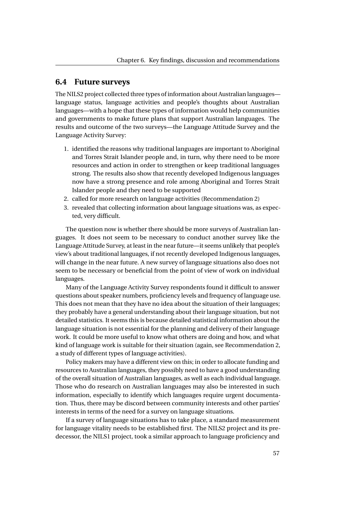## **6.4 Future surveys**

The NILS2 project collected three types of information about Australian languages language status, language activities and people's thoughts about Australian languages—with a hope that these types of information would help communities and governments to make future plans that support Australian languages. The results and outcome of the two surveys—the Language Attitude Survey and the Language Activity Survey:

- 1. identified the reasons why traditional languages are important to Aboriginal and Torres Strait Islander people and, in turn, why there need to be more resources and action in order to strengthen or keep traditional languages strong. The results also show that recently developed Indigenous languages now have a strong presence and role among Aboriginal and Torres Strait Islander people and they need to be supported
- 2. called for more research on language activities (Recommendation 2)
- 3. revealed that collecting information about language situations was, as expected, very difficult.

The question now is whether there should be more surveys of Australian languages. It does not seem to be necessary to conduct another survey like the Language Attitude Survey, at least in the near future—it seems unlikely that people's view's about traditional languages, if not recently developed Indigenous languages, will change in the near future. A new survey of language situations also does not seem to be necessary or beneficial from the point of view of work on individual languages.

Many of the Language Activity Survey respondents found it difficult to answer questions about speaker numbers, proficiency levels and frequency of language use. This does not mean that they have no idea about the situation of their languages; they probably have a general understanding about their language situation, but not detailed statistics. It seems this is because detailed statistical information about the language situation is not essential for the planning and delivery of their language work. It could be more useful to know what others are doing and how, and what kind of language work is suitable for their situation (again, see Recommendation 2, a study of different types of language activities).

Policy makers may have a different view on this; in order to allocate funding and resources to Australian languages, they possibly need to have a good understanding of the overall situation of Australian languages, as well as each individual language. Those who do research on Australian languages may also be interested in such information, especially to identify which languages require urgent documentation. Thus, there may be discord between community interests and other parties' interests in terms of the need for a survey on language situations.

If a survey of language situations has to take place, a standard measurement for language vitality needs to be established first. The NILS2 project and its predecessor, the NILS1 project, took a similar approach to language proficiency and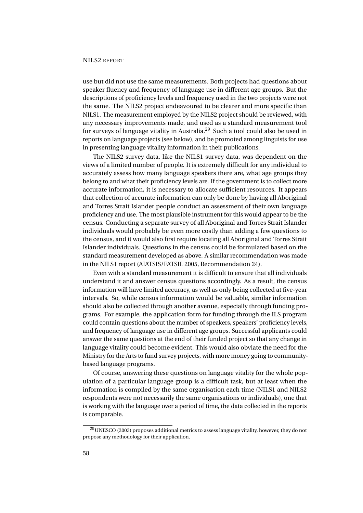use but did not use the same measurements. Both projects had questions about speaker fluency and frequency of language use in different age groups. But the descriptions of proficiency levels and frequency used in the two projects were not the same. The NILS2 project endeavoured to be clearer and more specific than NILS1. The measurement employed by the NILS2 project should be reviewed, with any necessary improvements made, and used as a standard measurement tool for surveys of language vitality in Australia.[29](#page-73-0) Such a tool could also be used in reports on language projects (see below), and be promoted among linguists for use in presenting language vitality information in their publications.

The NILS2 survey data, like the NILS1 survey data, was dependent on the views of a limited number of people. It is extremely difficult for any individual to accurately assess how many language speakers there are, what age groups they belong to and what their proficiency levels are. If the government is to collect more accurate information, it is necessary to allocate sufficient resources. It appears that collection of accurate information can only be done by having all Aboriginal and Torres Strait Islander people conduct an assessment of their own language proficiency and use. The most plausible instrument for this would appear to be the census. Conducting a separate survey of all Aboriginal and Torres Strait Islander individuals would probably be even more costly than adding a few questions to the census, and it would also first require locating all Aboriginal and Torres Strait Islander individuals. Questions in the census could be formulated based on the standard measurement developed as above. A similar recommendation was made in the NILS1 report [\(AIATSIS/FATSIL 2005,](#page-75-0) Recommendation 24).

Even with a standard measurement it is difficult to ensure that all individuals understand it and answer census questions accordingly. As a result, the census information will have limited accuracy, as well as only being collected at five-year intervals. So, while census information would be valuable, similar information should also be collected through another avenue, especially through funding programs. For example, the application form for funding through the ILS program could contain questions about the number of speakers, speakers' proficiency levels, and frequency of language use in different age groups. Successful applicants could answer the same questions at the end of their funded project so that any change in language vitality could become evident. This would also obviate the need for the Ministry for the Arts to fund survey projects, with more money going to communitybased language programs.

Of course, answering these questions on language vitality for the whole population of a particular language group is a difficult task, but at least when the information is compiled by the same organisation each time (NILS1 and NILS2 respondents were not necessarily the same organisations or individuals), one that is working with the language over a period of time, the data collected in the reports is comparable.

<span id="page-73-0"></span><sup>&</sup>lt;sup>29</sup>UNESCO [\(2003\)](#page-78-0) proposes additional metrics to assess language vitality, however, they do not propose any methodology for their application.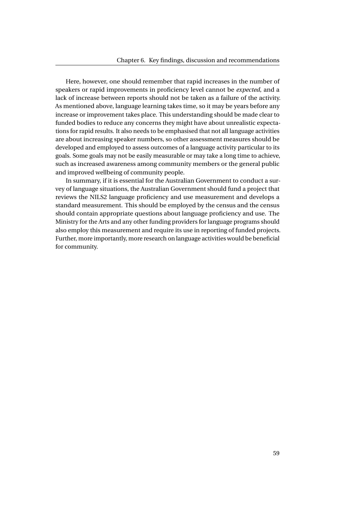Here, however, one should remember that rapid increases in the number of speakers or rapid improvements in proficiency level cannot be *expected*, and a lack of increase between reports should not be taken as a failure of the activity. As mentioned above, language learning takes time, so it may be years before any increase or improvement takes place. This understanding should be made clear to funded bodies to reduce any concerns they might have about unrealistic expectations for rapid results. It also needs to be emphasised that not all language activities are about increasing speaker numbers, so other assessment measures should be developed and employed to assess outcomes of a language activity particular to its goals. Some goals may not be easily measurable or may take a long time to achieve, such as increased awareness among community members or the general public and improved wellbeing of community people.

In summary, if it is essential for the Australian Government to conduct a survey of language situations, the Australian Government should fund a project that reviews the NILS2 language proficiency and use measurement and develops a standard measurement. This should be employed by the census and the census should contain appropriate questions about language proficiency and use. The Ministry for the Arts and any other funding providers for language programs should also employ this measurement and require its use in reporting of funded projects. Further, more importantly, more research on language activities would be beneficial for community.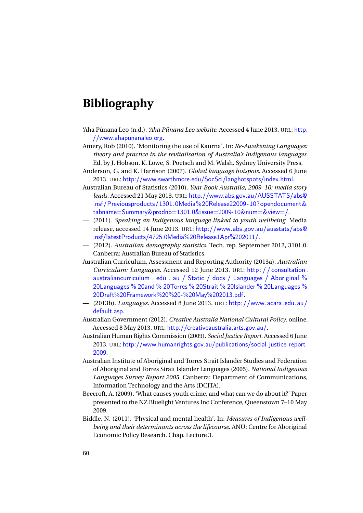## **Bibliography**

- 'Aha Pūnana Leo (n.d.). *'Aha Pūnana Leo website*. Accessed 4 June 2013. URL: [http:](http://www.ahapunanaleo.org) [//www.ahapunanaleo.org](http://www.ahapunanaleo.org).
- Amery, Rob (2010). 'Monitoring the use of Kaurna'. In: *Re-Awakening Languages: theory and practice in the revitalisation of Australia's Indigenous languages*. Ed. by J. Hobson, K. Lowe, S. Poetsch and M. Walsh. Sydney University Press.
- Anderson, G. and K. Harrison (2007). *Global language hotspots*. Accessed 6 June 2013. URL: <http://www.swarthmore.edu/SocSci/langhotspots/index.html>.
- Australian Bureau of Statistics (2010). *Year Book Australia, 2009–10: media story leads*. Accessed 21 May 2013. URL: [http://www.abs.gov.au/AUSSTATS/abs@](http://www.abs.gov.au/AUSSTATS/abs@.nsf/Previousproducts/1301.0Media%20Release22009-10?opendocument&tabname=Summary&prodno=1301.0&issue=2009-10&num=&view=/) [.nsf/Previousproducts/1301.0Media%20Release22009-10?opendocument&](http://www.abs.gov.au/AUSSTATS/abs@.nsf/Previousproducts/1301.0Media%20Release22009-10?opendocument&tabname=Summary&prodno=1301.0&issue=2009-10&num=&view=/) [tabname=Summary&prodno=1301.0&issue=2009-10&num=&view=/](http://www.abs.gov.au/AUSSTATS/abs@.nsf/Previousproducts/1301.0Media%20Release22009-10?opendocument&tabname=Summary&prodno=1301.0&issue=2009-10&num=&view=/).
- (2011). *Speaking an Indigenous language linked to youth wellbeing*. Media release, accessed 14 June 2013. URL: [http://www.abs.gov.au/ausstats/abs@](http://www.abs.gov.au/ausstats/abs@.nsf/latestProducts/4725.0Media%20Release1Apr%202011/) [.nsf/latestProducts/4725.0Media%20Release1Apr%202011/](http://www.abs.gov.au/ausstats/abs@.nsf/latestProducts/4725.0Media%20Release1Apr%202011/).
- (2012). *Australian demography statistics*. Tech. rep. September 2012, 3101.0. Canberra: Australian Bureau of Statistics.
- Australian Curriculum, Assessment and Reporting Authority (2013a). *Australian Curriculum: Languages*. Accessed 12 June 2013. URL: [http : / / consultation .](http://consultation.australiancurriculum.edu.au/Static/docs/Languages/Aboriginal%20Languages%20and%20Torres%20Strait%20Islander%20Languages%20Draft%20Framework%20%20-%20May%202013.pdf) [australiancurriculum . edu . au / Static / docs / Languages / Aboriginal %](http://consultation.australiancurriculum.edu.au/Static/docs/Languages/Aboriginal%20Languages%20and%20Torres%20Strait%20Islander%20Languages%20Draft%20Framework%20%20-%20May%202013.pdf) [20Languages % 20and % 20Torres % 20Strait % 20Islander % 20Languages %](http://consultation.australiancurriculum.edu.au/Static/docs/Languages/Aboriginal%20Languages%20and%20Torres%20Strait%20Islander%20Languages%20Draft%20Framework%20%20-%20May%202013.pdf) [20Draft%20Framework%20%20-%20May%202013.pdf](http://consultation.australiancurriculum.edu.au/Static/docs/Languages/Aboriginal%20Languages%20and%20Torres%20Strait%20Islander%20Languages%20Draft%20Framework%20%20-%20May%202013.pdf).
- (2013b). *Languages*. Accessed 8 June 2013. URL: [http://www.acara.edu.au/](http://www.acara.edu.au/default.asp) [default.asp](http://www.acara.edu.au/default.asp).
- Australian Government (2012). *Creative Australia National Cultural Policy*. online. Accessed 8 May 2013. URL: <http://creativeaustralia.arts.gov.au/>.
- Australian Human Rights Commission (2009). *Social Justice Report*. Accessed 6 June 2013. URL: [http://www.humanrights.gov.au/publications/social-justice-report-](http://www.humanrights.gov.au/publications/social-justice-report-2009)[2009](http://www.humanrights.gov.au/publications/social-justice-report-2009).
- <span id="page-75-0"></span>Australian Institute of Aboriginal and Torres Strait Islander Studies and Federation of Aboriginal and Torres Strait Islander Languages (2005). *National Indigenous Languages Survey Report 2005*. Canberra: Department of Communications, Information Technology and the Arts (DCITA).
- Beecroft, A. (2009). 'What causes youth crime, and what can we do about it?' Paper presented to the NZ Bluelight Ventures Inc Conference, Queenstown 7–10 May 2009.
- Biddle, N. (2011). 'Physical and mental health'. In: *Measures of Indigenous wellbeing and their determinants across the lifecourse*. ANU: Centre for Aboriginal Economic Policy Research. Chap. Lecture 3.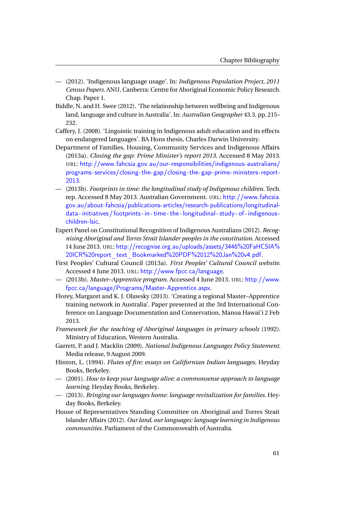- (2012). 'Indigenous language usage'. In: *Indigenous Population Project, 2011 Census Papers*. ANU, Canberra: Centre for Aboriginal Economic Policy Research. Chap. Paper 1.
- Biddle, N. and H. Swee (2012). 'The relationship between wellbeing and Indigenous land, language and culture in Australia'. In: *Australian Geographer* 43.3, pp. 215– 232.
- Caffery, J. (2008). 'Linguistic training in Indigenous adult education and its effects on endangered languages'. BA Hons thesis, Charles Darwin University.
- Department of Families, Housing, Community Services and Indigenous Affairs (2013a). *Closing the gap: Prime Minister's report 2013*. Accessed 8 May 2013. URL: [http://www.fahcsia.gov.au/our-responsibilities/indigenous-australians/](http://www.fahcsia.gov.au/our-responsibilities/indigenous-australians/programs-services/closing-the-gap/closing-the-gap-prime-ministers-report-2013) [programs-services/closing-the-gap/closing-the-gap-prime-ministers-report-](http://www.fahcsia.gov.au/our-responsibilities/indigenous-australians/programs-services/closing-the-gap/closing-the-gap-prime-ministers-report-2013)[2013](http://www.fahcsia.gov.au/our-responsibilities/indigenous-australians/programs-services/closing-the-gap/closing-the-gap-prime-ministers-report-2013).
- (2013b). *Footprints in time: the longitudinal study of Indigenous children*. Tech. rep. Accessed 8 May 2013. Australian Government. URL: [http://www.fahcsia.](http://www.fahcsia.gov.au/about-fahcsia/publications-articles/research-publications/longitudinal-data-initiatives/footprints-in-time-the-longitudinal-study-of-indigenous-children-lsic) [gov.au/about-fahcsia/publications-articles/research-publications/longitudinal](http://www.fahcsia.gov.au/about-fahcsia/publications-articles/research-publications/longitudinal-data-initiatives/footprints-in-time-the-longitudinal-study-of-indigenous-children-lsic)[data - initiatives/ footprints - in - time - the - longitudinal - study - of - indigenous](http://www.fahcsia.gov.au/about-fahcsia/publications-articles/research-publications/longitudinal-data-initiatives/footprints-in-time-the-longitudinal-study-of-indigenous-children-lsic)  [children-lsic](http://www.fahcsia.gov.au/about-fahcsia/publications-articles/research-publications/longitudinal-data-initiatives/footprints-in-time-the-longitudinal-study-of-indigenous-children-lsic).
- Expert Panel on Constitutional Recognition of Indigenous Australians (2012). *Recognising Aboriginal and Torres Strait Islander peoples in the constitution*. Accessed 14 June 2013. URL: [http://recognise.org.au/uploads/assets/3446%20FaHCSIA%](http://recognise.org.au/uploads/assets/3446%20FaHCSIA%20ICR%20report_text_Bookmarked%20PDF%2012%20Jan%20v4.pdf) [20ICR%20report\\_text\\_Bookmarked%20PDF%2012%20Jan%20v4.pdf](http://recognise.org.au/uploads/assets/3446%20FaHCSIA%20ICR%20report_text_Bookmarked%20PDF%2012%20Jan%20v4.pdf).
- First Peoples' Cultural Council (2013a). *First Peoples' Cultural Council website*. Accessed 4 June 2013. URL: <http://www.fpcc.ca/language>.
- (2013b). *Master–Apprentice program*. Accessed 4 June 2013. URL: [http://www.](http://www.fpcc.ca/language/Programs/Master-Apprentice.aspx) [fpcc.ca/language/Programs/Master-Apprentice.aspx](http://www.fpcc.ca/language/Programs/Master-Apprentice.aspx).
- Florey, Margaret and K. J. Olawsky (2013). 'Creating a regional Master–Apprentice training network in Australia'. Paper presented at the 3rd International Conference on Language Documentation and Conservation, Manoa Hawai'i 2 Feb 2013.
- *Framework for the teaching of Aboriginal languages in primary schools* (1992). Ministry of Education, Western Australia.
- Garrett, P. and J. Macklin (2009). *National Indigenous Languages Policy Statement*. Media release, 9 August 2009.
- Hinton, L. (1994). *Flutes of fire: essays on Californian Indian languages*. Heyday Books, Berkeley.
- (2001). *How to keep your language alive: a commonsense approach to language learning*. Heyday Books, Berkeley.
- (2013). *Bringing our languages home: language revitalization for families*. Heyday Books, Berkeley.
- House of Representatives Standing Committee on Aboriginal and Torres Strait Islander Affairs (2012). *Our land, our languages: language learning in Indigenous communities*. Parliament of the Commonwealth of Australia.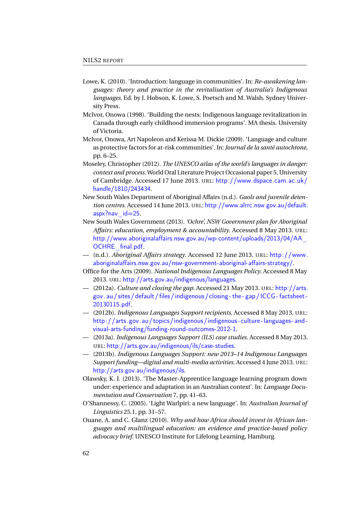- Lowe, K. (2010). 'Introduction: language in communities'. In: *Re-awakening languages: theory and practice in the revitalisation of Australia's Indigenous languages*. Ed. by J. Hobson, K. Lowe, S. Poetsch and M. Walsh. Sydney University Press.
- McIvor, Onowa (1998). 'Building the nests: Indigenous language revitalization in Canada through early childhood immersion programs'. MA thesis. University of Victoria.
- McIvor, Onowa, Art Napoleon and Kerissa M. Dickie (2009). 'Language and culture as protective factors for at-risk communities'. In: *Journal de la santé autochtone*, pp. 6–25.
- Moseley, Christopher (2012). *The UNESCO atlas of the world's languages in danger: context and process*. World Oral Literature Project Occasional paper 5, University of Cambridge. Accessed 17 June 2013. URL: [http://www.dspace.cam.ac.uk/](http://www.dspace.cam.ac.uk/handle/1810/243434) [handle/1810/243434](http://www.dspace.cam.ac.uk/handle/1810/243434).
- New South Wales Department of Aboriginal Affairs (n.d.). *Gaols and juvenile detention centres*. Accessed 14 June 2013. URL: [http://www.alrrc.nsw.gov.au/default.](http://www.alrrc.nsw.gov.au/default.aspx?nav_id=25)  $aspx?$ nav $id=25$ .
- New South Wales Government (2013). *'Ochre', NSW Government plan for Aboriginal Affairs: education, employment & accountability*. Accessed 8 May 2013. URL: [http://www.aboriginalaffairs.nsw.gov.au/wp-content/uploads/2013/04/AA\\_](http://www.aboriginalaffairs.nsw.gov.au/wp-content/uploads/2013/04/AA_OCHRE_final.pdf) OCHRE final.pdf.
- (n.d.). *Aboriginal Affairs strategy*. Accessed 12 June 2013. URL: [http://www.](http://www.aboriginalaffairs.nsw.gov.au/nsw-government-aboriginal-affairs-strategy/) [aboriginalaffairs.nsw.gov.au/nsw-government-aboriginal-affairs-strategy/](http://www.aboriginalaffairs.nsw.gov.au/nsw-government-aboriginal-affairs-strategy/).
- Office for the Arts (2009). *National Indigenous Languages Policy*. Accessed 8 May 2013. URL: <http://arts.gov.au/indigenous/languages>.
- (2012a). *Culture and closing the gap*. Accessed 21 May 2013. URL: [http://arts.](http://arts.gov.au/sites/default/files/indigenous/closing-the-gap/ICCG-factsheet-20130115.pdf) [gov.au/ sites/ default/ files/indigenous/ closing - the - gap/ICCG - factsheet -](http://arts.gov.au/sites/default/files/indigenous/closing-the-gap/ICCG-factsheet-20130115.pdf) [20130115.pdf](http://arts.gov.au/sites/default/files/indigenous/closing-the-gap/ICCG-factsheet-20130115.pdf).
- (2012b). *Indigenous Languages Support recipients*. Accessed 8 May 2013. URL: [http://arts.gov.au/topics/indigenous/indigenous- culture- languages- and](http://arts.gov.au/topics/indigenous/indigenous-culture-languages-and-visual-arts-funding/funding-round-outcomes-2012-1)  [visual-arts-funding/funding-round-outcomes-2012-1](http://arts.gov.au/topics/indigenous/indigenous-culture-languages-and-visual-arts-funding/funding-round-outcomes-2012-1).
- (2013a). *Indigenous Languages Support (ILS) case studies*. Accessed 8 May 2013. URL: <http://arts.gov.au/indigenous/ils/case-studies>.
- (2013b). *Indigenous Languages Support: new 2013–14 Indigenous Languages Support funding—digital and multi-media activities*. Accessed 4 June 2013. URL: <http://arts.gov.au/indigenous/ils>.
- Olawsky, K. J. (2013). 'The Master-Apprentice language learning program down under: experience and adaptation in an Australian context'. In: *Language Documentation and Conservation* 7, pp. 41–63.
- O'Shannessy, C. (2005). 'Light Warlpiri: a new language'. In: *Australian Journal of Linguistics* 25.1, pp. 31–57.
- Ouane, A. and C. Glanz (2010). *Why and how Africa should invest in African languages and multilingual education: an evidence and practice-based policy advocacy brief*. UNESCO Institute for Lifelong Learning, Hamburg.